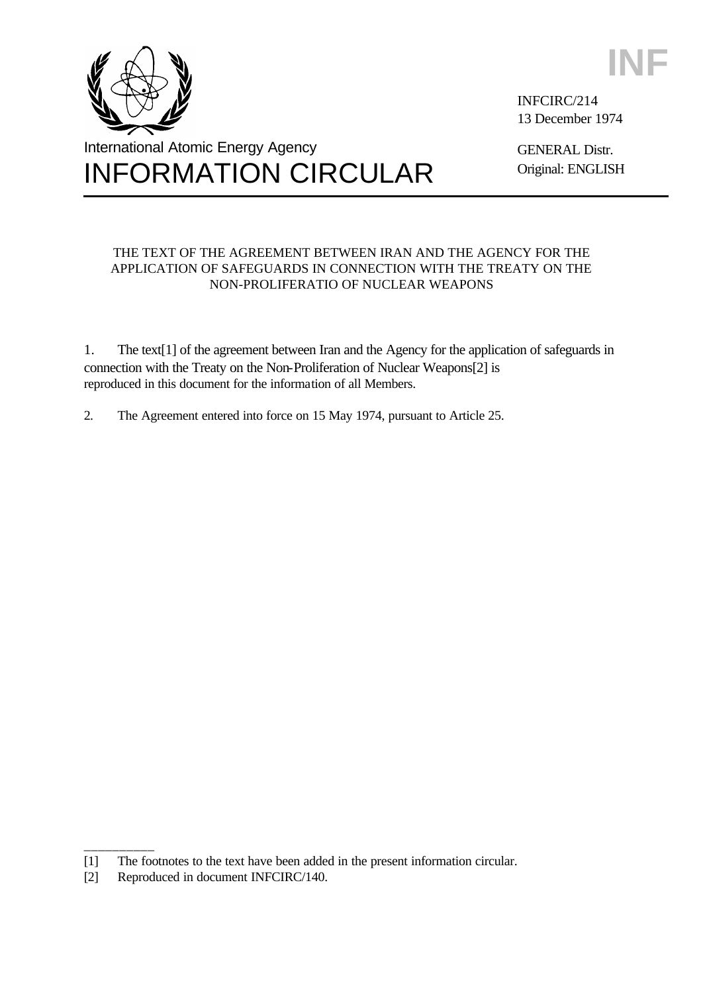



INFCIRC/214 13 December 1974

GENERAL Distr. Original: ENGLISH

# THE TEXT OF THE AGREEMENT BETWEEN IRAN AND THE AGENCY FOR THE APPLICATION OF SAFEGUARDS IN CONNECTION WITH THE TREATY ON THE NON-PROLIFERATIO OF NUCLEAR WEAPONS

1. The text[1] of the agreement between Iran and the Agency for the application of safeguards in connection with the Treaty on the Non-Proliferation of Nuclear Weapons[2] is reproduced in this document for the information of all Members.

2. The Agreement entered into force on 15 May 1974, pursuant to Article 25.

\_\_\_\_\_\_\_\_\_\_

<sup>[1]</sup> The footnotes to the text have been added in the present information circular.

<sup>[2]</sup> Reproduced in document INFCIRC/140.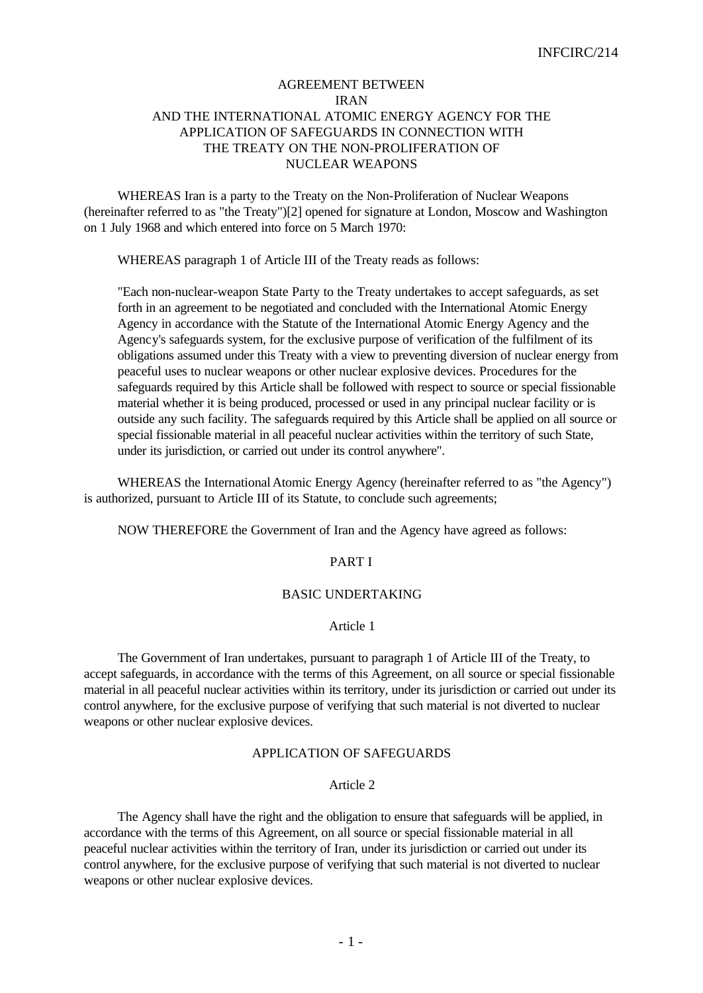# AGREEMENT BETWEEN IRAN AND THE INTERNATIONAL ATOMIC ENERGY AGENCY FOR THE APPLICATION OF SAFEGUARDS IN CONNECTION WITH THE TREATY ON THE NON-PROLIFERATION OF NUCLEAR WEAPONS

WHEREAS Iran is a party to the Treaty on the Non-Proliferation of Nuclear Weapons (hereinafter referred to as "the Treaty")[2] opened for signature at London, Moscow and Washington on 1 July 1968 and which entered into force on 5 March 1970:

WHEREAS paragraph 1 of Article III of the Treaty reads as follows:

"Each non-nuclear-weapon State Party to the Treaty undertakes to accept safeguards, as set forth in an agreement to be negotiated and concluded with the International Atomic Energy Agency in accordance with the Statute of the International Atomic Energy Agency and the Agency's safeguards system, for the exclusive purpose of verification of the fulfilment of its obligations assumed under this Treaty with a view to preventing diversion of nuclear energy from peaceful uses to nuclear weapons or other nuclear explosive devices. Procedures for the safeguards required by this Article shall be followed with respect to source or special fissionable material whether it is being produced, processed or used in any principal nuclear facility or is outside any such facility. The safeguards required by this Article shall be applied on all source or special fissionable material in all peaceful nuclear activities within the territory of such State, under its jurisdiction, or carried out under its control anywhere".

WHEREAS the International Atomic Energy Agency (hereinafter referred to as "the Agency") is authorized, pursuant to Article III of its Statute, to conclude such agreements;

NOW THEREFORE the Government of Iran and the Agency have agreed as follows:

#### PART I

#### BASIC UNDERTAKING

#### Article 1

The Government of Iran undertakes, pursuant to paragraph 1 of Article III of the Treaty, to accept safeguards, in accordance with the terms of this Agreement, on all source or special fissionable material in all peaceful nuclear activities within its territory, under its jurisdiction or carried out under its control anywhere, for the exclusive purpose of verifying that such material is not diverted to nuclear weapons or other nuclear explosive devices.

#### APPLICATION OF SAFEGUARDS

#### Article 2

The Agency shall have the right and the obligation to ensure that safeguards will be applied, in accordance with the terms of this Agreement, on all source or special fissionable material in all peaceful nuclear activities within the territory of Iran, under its jurisdiction or carried out under its control anywhere, for the exclusive purpose of verifying that such material is not diverted to nuclear weapons or other nuclear explosive devices.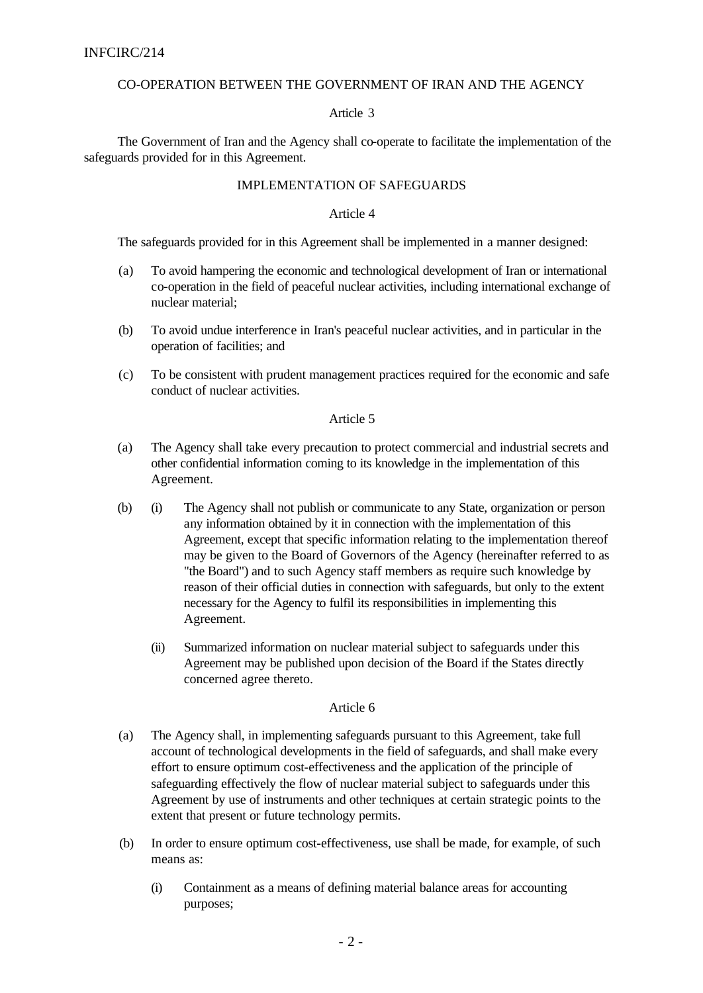### CO-OPERATION BETWEEN THE GOVERNMENT OF IRAN AND THE AGENCY

#### Article 3

The Government of Iran and the Agency shall co-operate to facilitate the implementation of the safeguards provided for in this Agreement.

#### IMPLEMENTATION OF SAFEGUARDS

#### Article 4

The safeguards provided for in this Agreement shall be implemented in a manner designed:

- (a) To avoid hampering the economic and technological development of Iran or international co-operation in the field of peaceful nuclear activities, including international exchange of nuclear material;
- (b) To avoid undue interference in Iran's peaceful nuclear activities, and in particular in the operation of facilities; and
- (c) To be consistent with prudent management practices required for the economic and safe conduct of nuclear activities.

#### Article 5

- (a) The Agency shall take every precaution to protect commercial and industrial secrets and other confidential information coming to its knowledge in the implementation of this Agreement.
- (b) (i) The Agency shall not publish or communicate to any State, organization or person any information obtained by it in connection with the implementation of this Agreement, except that specific information relating to the implementation thereof may be given to the Board of Governors of the Agency (hereinafter referred to as "the Board") and to such Agency staff members as require such knowledge by reason of their official duties in connection with safeguards, but only to the extent necessary for the Agency to fulfil its responsibilities in implementing this Agreement.
	- (ii) Summarized information on nuclear material subject to safeguards under this Agreement may be published upon decision of the Board if the States directly concerned agree thereto.

#### Article 6

- (a) The Agency shall, in implementing safeguards pursuant to this Agreement, take full account of technological developments in the field of safeguards, and shall make every effort to ensure optimum cost-effectiveness and the application of the principle of safeguarding effectively the flow of nuclear material subject to safeguards under this Agreement by use of instruments and other techniques at certain strategic points to the extent that present or future technology permits.
- (b) In order to ensure optimum cost-effectiveness, use shall be made, for example, of such means as:
	- (i) Containment as a means of defining material balance areas for accounting purposes;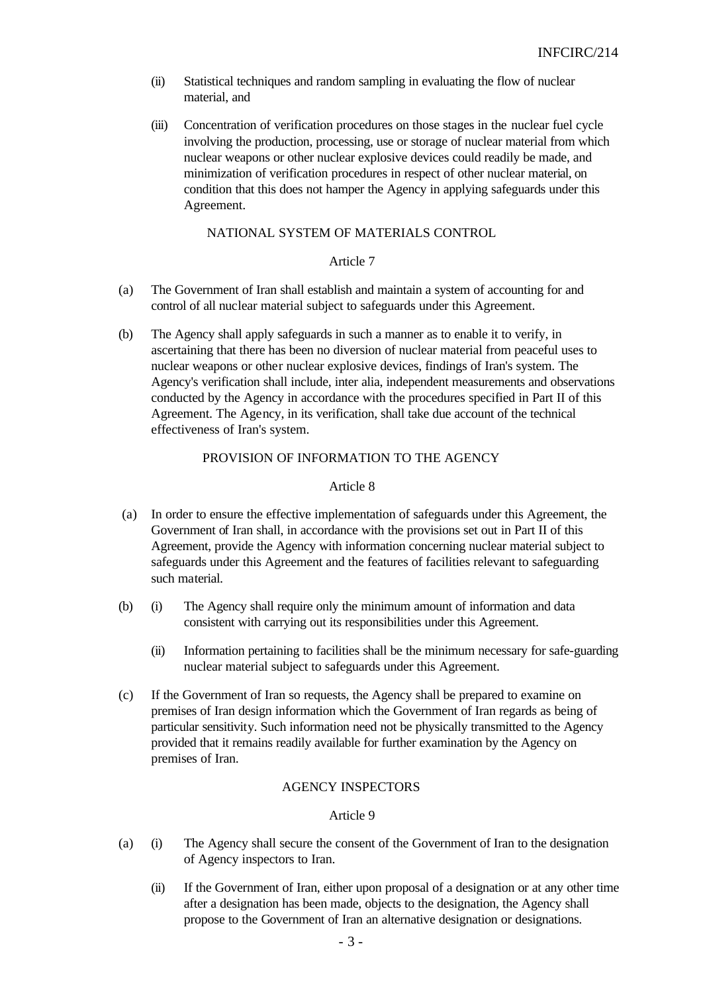- (ii) Statistical techniques and random sampling in evaluating the flow of nuclear material, and
- (iii) Concentration of verification procedures on those stages in the nuclear fuel cycle involving the production, processing, use or storage of nuclear material from which nuclear weapons or other nuclear explosive devices could readily be made, and minimization of verification procedures in respect of other nuclear material, on condition that this does not hamper the Agency in applying safeguards under this Agreement.

# NATIONAL SYSTEM OF MATERIALS CONTROL

#### Article 7

- (a) The Government of Iran shall establish and maintain a system of accounting for and control of all nuclear material subject to safeguards under this Agreement.
- (b) The Agency shall apply safeguards in such a manner as to enable it to verify, in ascertaining that there has been no diversion of nuclear material from peaceful uses to nuclear weapons or other nuclear explosive devices, findings of Iran's system. The Agency's verification shall include, inter alia, independent measurements and observations conducted by the Agency in accordance with the procedures specified in Part II of this Agreement. The Agency, in its verification, shall take due account of the technical effectiveness of Iran's system.

# PROVISION OF INFORMATION TO THE AGENCY

# Article 8

- (a) In order to ensure the effective implementation of safeguards under this Agreement, the Government of Iran shall, in accordance with the provisions set out in Part II of this Agreement, provide the Agency with information concerning nuclear material subject to safeguards under this Agreement and the features of facilities relevant to safeguarding such material.
- (b) (i) The Agency shall require only the minimum amount of information and data consistent with carrying out its responsibilities under this Agreement.
	- (ii) Information pertaining to facilities shall be the minimum necessary for safe-guarding nuclear material subject to safeguards under this Agreement.
- (c) If the Government of Iran so requests, the Agency shall be prepared to examine on premises of Iran design information which the Government of Iran regards as being of particular sensitivity. Such information need not be physically transmitted to the Agency provided that it remains readily available for further examination by the Agency on premises of Iran.

#### AGENCY INSPECTORS

#### Article 9

- (a) (i) The Agency shall secure the consent of the Government of Iran to the designation of Agency inspectors to Iran.
	- (ii) If the Government of Iran, either upon proposal of a designation or at any other time after a designation has been made, objects to the designation, the Agency shall propose to the Government of Iran an alternative designation or designations.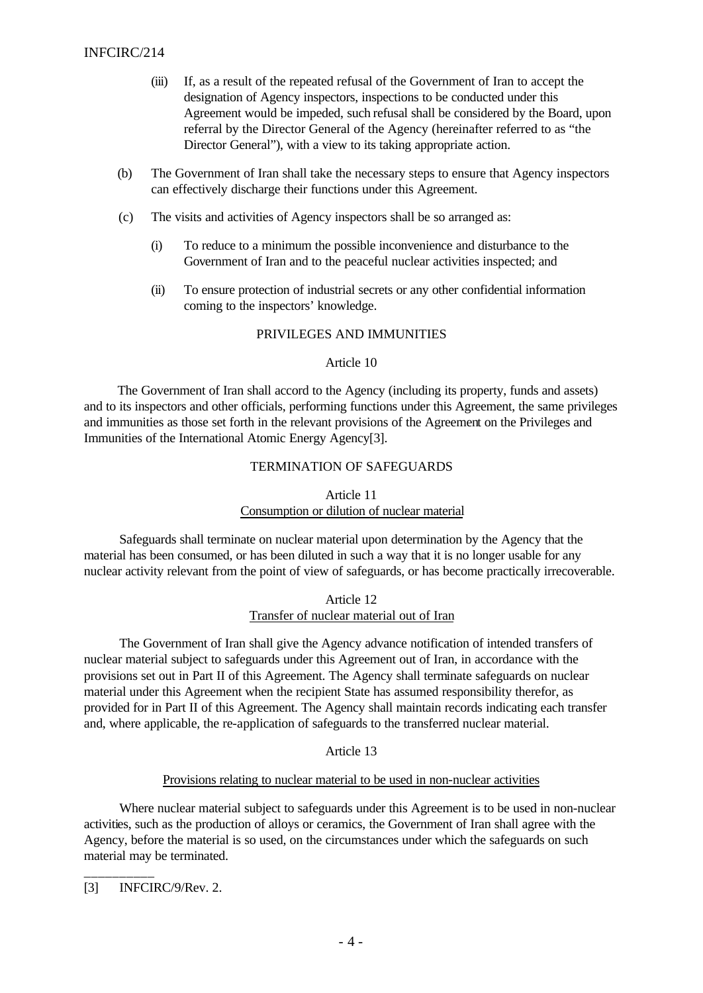# INFCIRC/214

- (iii) If, as a result of the repeated refusal of the Government of Iran to accept the designation of Agency inspectors, inspections to be conducted under this Agreement would be impeded, such refusal shall be considered by the Board, upon referral by the Director General of the Agency (hereinafter referred to as "the Director General"), with a view to its taking appropriate action.
- (b) The Government of Iran shall take the necessary steps to ensure that Agency inspectors can effectively discharge their functions under this Agreement.
- (c) The visits and activities of Agency inspectors shall be so arranged as:
	- (i) To reduce to a minimum the possible inconvenience and disturbance to the Government of Iran and to the peaceful nuclear activities inspected; and
	- (ii) To ensure protection of industrial secrets or any other confidential information coming to the inspectors' knowledge.

# PRIVILEGES AND IMMUNITIES

#### Article 10

The Government of Iran shall accord to the Agency (including its property, funds and assets) and to its inspectors and other officials, performing functions under this Agreement, the same privileges and immunities as those set forth in the relevant provisions of the Agreement on the Privileges and Immunities of the International Atomic Energy Agency[3].

#### TERMINATION OF SAFEGUARDS

Article 11 Consumption or dilution of nuclear material

Safeguards shall terminate on nuclear material upon determination by the Agency that the material has been consumed, or has been diluted in such a way that it is no longer usable for any nuclear activity relevant from the point of view of safeguards, or has become practically irrecoverable.

> Article 12 Transfer of nuclear material out of Iran

The Government of Iran shall give the Agency advance notification of intended transfers of nuclear material subject to safeguards under this Agreement out of Iran, in accordance with the provisions set out in Part II of this Agreement. The Agency shall terminate safeguards on nuclear material under this Agreement when the recipient State has assumed responsibility therefor, as provided for in Part II of this Agreement. The Agency shall maintain records indicating each transfer and, where applicable, the re-application of safeguards to the transferred nuclear material.

#### Article 13

#### Provisions relating to nuclear material to be used in non-nuclear activities

Where nuclear material subject to safeguards under this Agreement is to be used in non-nuclear activities, such as the production of alloys or ceramics, the Government of Iran shall agree with the Agency, before the material is so used, on the circumstances under which the safeguards on such material may be terminated.

[3] **INFCIRC/9/Rev. 2.** 

\_\_\_\_\_\_\_\_\_\_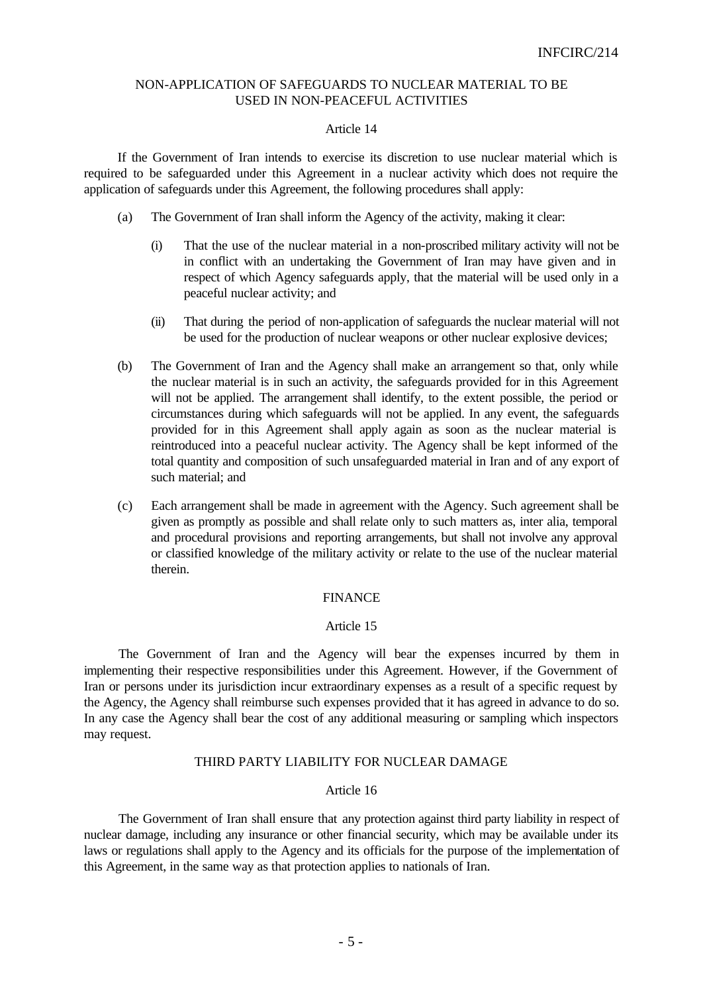# NON-APPLICATION OF SAFEGUARDS TO NUCLEAR MATERIAL TO BE USED IN NON-PEACEFUL ACTIVITIES

#### Article 14

If the Government of Iran intends to exercise its discretion to use nuclear material which is required to be safeguarded under this Agreement in a nuclear activity which does not require the application of safeguards under this Agreement, the following procedures shall apply:

- (a) The Government of Iran shall inform the Agency of the activity, making it clear:
	- (i) That the use of the nuclear material in a non-proscribed military activity will not be in conflict with an undertaking the Government of Iran may have given and in respect of which Agency safeguards apply, that the material will be used only in a peaceful nuclear activity; and
	- (ii) That during the period of non-application of safeguards the nuclear material will not be used for the production of nuclear weapons or other nuclear explosive devices;
- (b) The Government of Iran and the Agency shall make an arrangement so that, only while the nuclear material is in such an activity, the safeguards provided for in this Agreement will not be applied. The arrangement shall identify, to the extent possible, the period or circumstances during which safeguards will not be applied. In any event, the safeguards provided for in this Agreement shall apply again as soon as the nuclear material is reintroduced into a peaceful nuclear activity. The Agency shall be kept informed of the total quantity and composition of such unsafeguarded material in Iran and of any export of such material; and
- (c) Each arrangement shall be made in agreement with the Agency. Such agreement shall be given as promptly as possible and shall relate only to such matters as, inter alia, temporal and procedural provisions and reporting arrangements, but shall not involve any approval or classified knowledge of the military activity or relate to the use of the nuclear material therein.

#### FINANCE

#### Article 15

The Government of Iran and the Agency will bear the expenses incurred by them in implementing their respective responsibilities under this Agreement. However, if the Government of Iran or persons under its jurisdiction incur extraordinary expenses as a result of a specific request by the Agency, the Agency shall reimburse such expenses provided that it has agreed in advance to do so. In any case the Agency shall bear the cost of any additional measuring or sampling which inspectors may request.

#### THIRD PARTY LIABILITY FOR NUCLEAR DAMAGE

#### Article 16

The Government of Iran shall ensure that any protection against third party liability in respect of nuclear damage, including any insurance or other financial security, which may be available under its laws or regulations shall apply to the Agency and its officials for the purpose of the implementation of this Agreement, in the same way as that protection applies to nationals of Iran.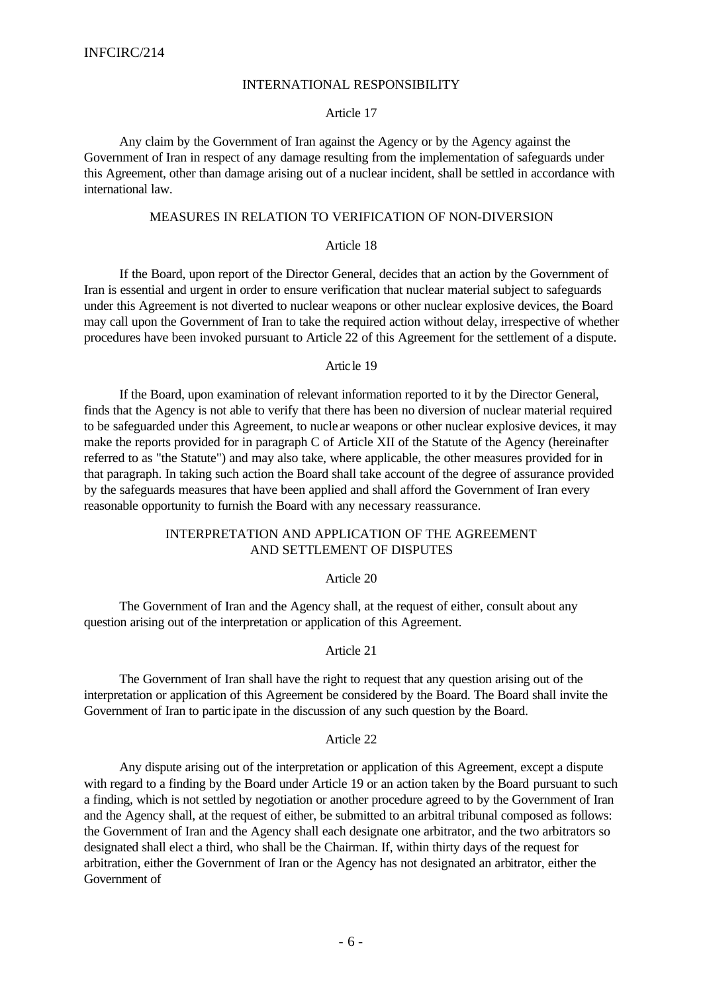# INTERNATIONAL RESPONSIBILITY

#### Article 17

Any claim by the Government of Iran against the Agency or by the Agency against the Government of Iran in respect of any damage resulting from the implementation of safeguards under this Agreement, other than damage arising out of a nuclear incident, shall be settled in accordance with international law.

# MEASURES IN RELATION TO VERIFICATION OF NON-DIVERSION

#### Article 18

If the Board, upon report of the Director General, decides that an action by the Government of Iran is essential and urgent in order to ensure verification that nuclear material subject to safeguards under this Agreement is not diverted to nuclear weapons or other nuclear explosive devices, the Board may call upon the Government of Iran to take the required action without delay, irrespective of whether procedures have been invoked pursuant to Article 22 of this Agreement for the settlement of a dispute.

#### Article 19

If the Board, upon examination of relevant information reported to it by the Director General, finds that the Agency is not able to verify that there has been no diversion of nuclear material required to be safeguarded under this Agreement, to nucle ar weapons or other nuclear explosive devices, it may make the reports provided for in paragraph C of Article XII of the Statute of the Agency (hereinafter referred to as "the Statute") and may also take, where applicable, the other measures provided for in that paragraph. In taking such action the Board shall take account of the degree of assurance provided by the safeguards measures that have been applied and shall afford the Government of Iran every reasonable opportunity to furnish the Board with any necessary reassurance.

# INTERPRETATION AND APPLICATION OF THE AGREEMENT AND SETTLEMENT OF DISPUTES

#### Article 20

The Government of Iran and the Agency shall, at the request of either, consult about any question arising out of the interpretation or application of this Agreement.

### Article 21

The Government of Iran shall have the right to request that any question arising out of the interpretation or application of this Agreement be considered by the Board. The Board shall invite the Government of Iran to partic ipate in the discussion of any such question by the Board.

#### Article 22

Any dispute arising out of the interpretation or application of this Agreement, except a dispute with regard to a finding by the Board under Article 19 or an action taken by the Board pursuant to such a finding, which is not settled by negotiation or another procedure agreed to by the Government of Iran and the Agency shall, at the request of either, be submitted to an arbitral tribunal composed as follows: the Government of Iran and the Agency shall each designate one arbitrator, and the two arbitrators so designated shall elect a third, who shall be the Chairman. If, within thirty days of the request for arbitration, either the Government of Iran or the Agency has not designated an arbitrator, either the Government of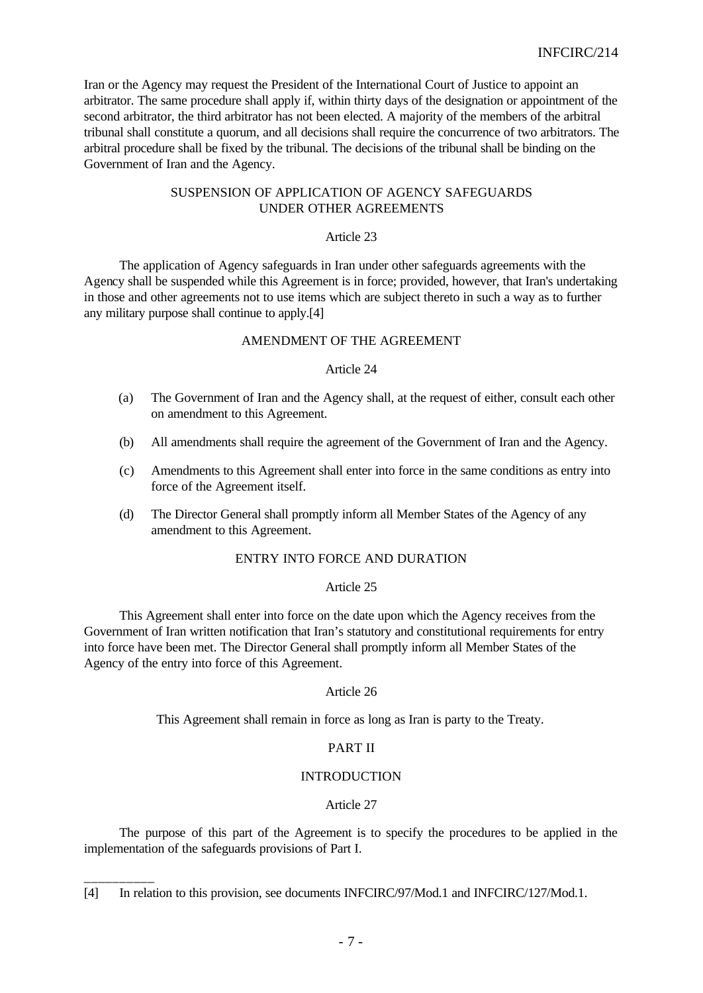Iran or the Agency may request the President of the International Court of Justice to appoint an arbitrator. The same procedure shall apply if, within thirty days of the designation or appointment of the second arbitrator, the third arbitrator has not been elected. A majority of the members of the arbitral tribunal shall constitute a quorum, and all decisions shall require the concurrence of two arbitrators. The arbitral procedure shall be fixed by the tribunal. The decisions of the tribunal shall be binding on the Government of Iran and the Agency.

# SUSPENSION OF APPLICATION OF AGENCY SAFEGUARDS UNDER OTHER AGREEMENTS

#### Article 23

The application of Agency safeguards in Iran under other safeguards agreements with the Agency shall be suspended while this Agreement is in force; provided, however, that Iran's undertaking in those and other agreements not to use items which are subject thereto in such a way as to further any military purpose shall continue to apply.[4]

#### AMENDMENT OF THE AGREEMENT

#### Article 24

- (a) The Government of Iran and the Agency shall, at the request of either, consult each other on amendment to this Agreement.
- (b) All amendments shall require the agreement of the Government of Iran and the Agency.
- (c) Amendments to this Agreement shall enter into force in the same conditions as entry into force of the Agreement itself.
- (d) The Director General shall promptly inform all Member States of the Agency of any amendment to this Agreement.

#### ENTRY INTO FORCE AND DURATION

#### Article 25

This Agreement shall enter into force on the date upon which the Agency receives from the Government of Iran written notification that Iran's statutory and constitutional requirements for entry into force have been met. The Director General shall promptly inform all Member States of the Agency of the entry into force of this Agreement.

#### Article 26

This Agreement shall remain in force as long as Iran is party to the Treaty.

# PART II

#### INTRODUCTION

#### Article 27

The purpose of this part of the Agreement is to specify the procedures to be applied in the implementation of the safeguards provisions of Part I.

\_\_\_\_\_\_\_\_\_\_

<sup>[4]</sup> In relation to this provision, see documents INFCIRC/97/Mod.1 and INFCIRC/127/Mod.1.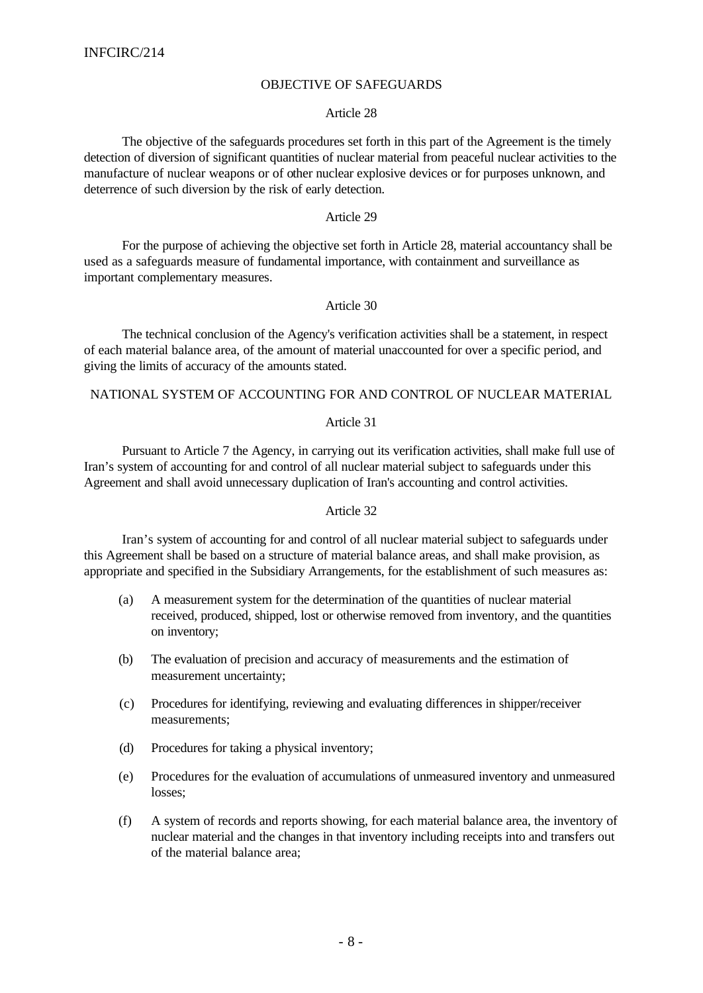# OBJECTIVE OF SAFEGUARDS

#### Article 28

The objective of the safeguards procedures set forth in this part of the Agreement is the timely detection of diversion of significant quantities of nuclear material from peaceful nuclear activities to the manufacture of nuclear weapons or of other nuclear explosive devices or for purposes unknown, and deterrence of such diversion by the risk of early detection.

#### Article 29

For the purpose of achieving the objective set forth in Article 28, material accountancy shall be used as a safeguards measure of fundamental importance, with containment and surveillance as important complementary measures.

#### Article 30

The technical conclusion of the Agency's verification activities shall be a statement, in respect of each material balance area, of the amount of material unaccounted for over a specific period, and giving the limits of accuracy of the amounts stated.

# NATIONAL SYSTEM OF ACCOUNTING FOR AND CONTROL OF NUCLEAR MATERIAL

#### Article 31

Pursuant to Article 7 the Agency, in carrying out its verification activities, shall make full use of Iran's system of accounting for and control of all nuclear material subject to safeguards under this Agreement and shall avoid unnecessary duplication of Iran's accounting and control activities.

#### Article 32

Iran's system of accounting for and control of all nuclear material subject to safeguards under this Agreement shall be based on a structure of material balance areas, and shall make provision, as appropriate and specified in the Subsidiary Arrangements, for the establishment of such measures as:

- (a) A measurement system for the determination of the quantities of nuclear material received, produced, shipped, lost or otherwise removed from inventory, and the quantities on inventory;
- (b) The evaluation of precision and accuracy of measurements and the estimation of measurement uncertainty;
- (c) Procedures for identifying, reviewing and evaluating differences in shipper/receiver measurements;
- (d) Procedures for taking a physical inventory;
- (e) Procedures for the evaluation of accumulations of unmeasured inventory and unmeasured losses;
- (f) A system of records and reports showing, for each material balance area, the inventory of nuclear material and the changes in that inventory including receipts into and transfers out of the material balance area;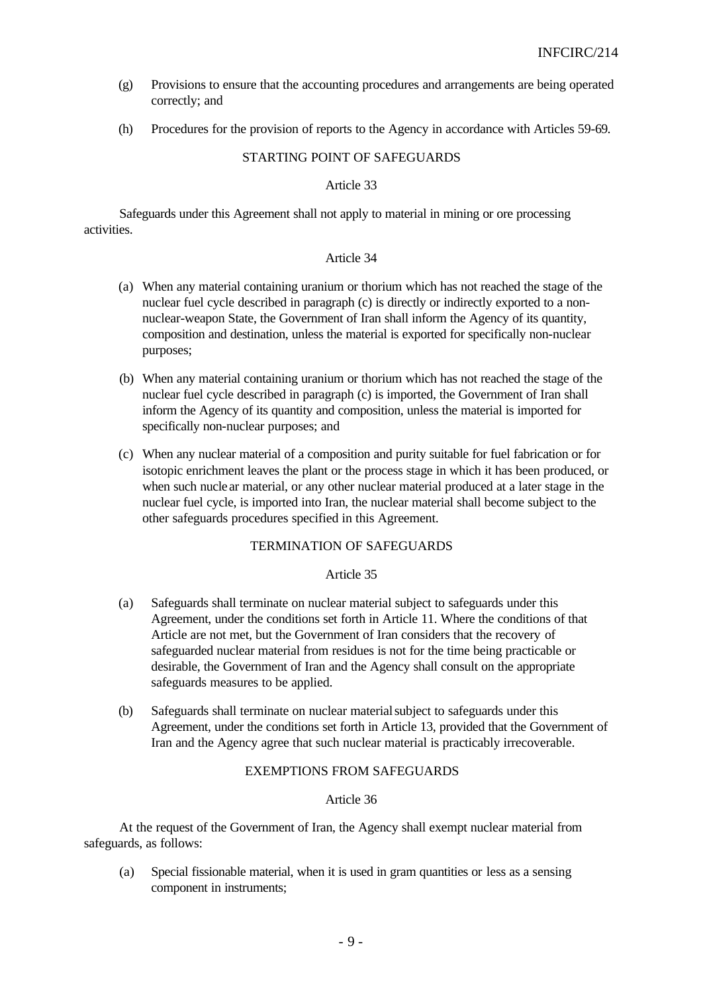- (g) Provisions to ensure that the accounting procedures and arrangements are being operated correctly; and
- (h) Procedures for the provision of reports to the Agency in accordance with Articles 59-69.

# STARTING POINT OF SAFEGUARDS

#### Article 33

Safeguards under this Agreement shall not apply to material in mining or ore processing activities.

#### Article 34

- (a) When any material containing uranium or thorium which has not reached the stage of the nuclear fuel cycle described in paragraph (c) is directly or indirectly exported to a nonnuclear-weapon State, the Government of Iran shall inform the Agency of its quantity, composition and destination, unless the material is exported for specifically non-nuclear purposes;
- (b) When any material containing uranium or thorium which has not reached the stage of the nuclear fuel cycle described in paragraph (c) is imported, the Government of Iran shall inform the Agency of its quantity and composition, unless the material is imported for specifically non-nuclear purposes; and
- (c) When any nuclear material of a composition and purity suitable for fuel fabrication or for isotopic enrichment leaves the plant or the process stage in which it has been produced, or when such nuclear material, or any other nuclear material produced at a later stage in the nuclear fuel cycle, is imported into Iran, the nuclear material shall become subject to the other safeguards procedures specified in this Agreement.

#### TERMINATION OF SAFEGUARDS

#### Article 35

- (a) Safeguards shall terminate on nuclear material subject to safeguards under this Agreement, under the conditions set forth in Article 11. Where the conditions of that Article are not met, but the Government of Iran considers that the recovery of safeguarded nuclear material from residues is not for the time being practicable or desirable, the Government of Iran and the Agency shall consult on the appropriate safeguards measures to be applied.
- (b) Safeguards shall terminate on nuclear material subject to safeguards under this Agreement, under the conditions set forth in Article 13, provided that the Government of Iran and the Agency agree that such nuclear material is practicably irrecoverable.

# EXEMPTIONS FROM SAFEGUARDS

# Article 36

At the request of the Government of Iran, the Agency shall exempt nuclear material from safeguards, as follows:

(a) Special fissionable material, when it is used in gram quantities or less as a sensing component in instruments;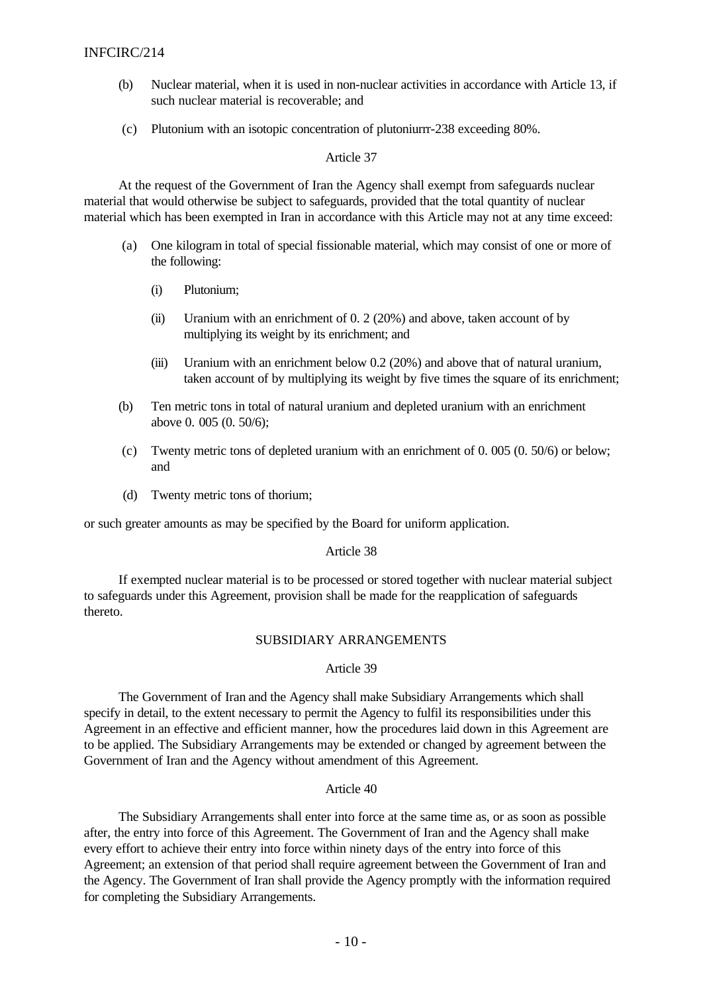- (b) Nuclear material, when it is used in non-nuclear activities in accordance with Article 13, if such nuclear material is recoverable; and
- (c) Plutonium with an isotopic concentration of plutoniurrr-238 exceeding 80%.

At the request of the Government of Iran the Agency shall exempt from safeguards nuclear material that would otherwise be subject to safeguards, provided that the total quantity of nuclear material which has been exempted in Iran in accordance with this Article may not at any time exceed:

- (a) One kilogram in total of special fissionable material, which may consist of one or more of the following:
	- (i) Plutonium;
	- (ii) Uranium with an enrichment of 0. 2 (20%) and above, taken account of by multiplying its weight by its enrichment; and
	- (iii) Uranium with an enrichment below 0.2 (20%) and above that of natural uranium, taken account of by multiplying its weight by five times the square of its enrichment;
- (b) Ten metric tons in total of natural uranium and depleted uranium with an enrichment above 0. 005 (0. 50/6);
- (c) Twenty metric tons of depleted uranium with an enrichment of 0. 005 (0. 50/6) or below; and
- (d) Twenty metric tons of thorium;

or such greater amounts as may be specified by the Board for uniform application.

#### Article 38

If exempted nuclear material is to be processed or stored together with nuclear material subject to safeguards under this Agreement, provision shall be made for the reapplication of safeguards thereto.

# SUBSIDIARY ARRANGEMENTS

#### Article 39

The Government of Iran and the Agency shall make Subsidiary Arrangements which shall specify in detail, to the extent necessary to permit the Agency to fulfil its responsibilities under this Agreement in an effective and efficient manner, how the procedures laid down in this Agreement are to be applied. The Subsidiary Arrangements may be extended or changed by agreement between the Government of Iran and the Agency without amendment of this Agreement.

# Article 40

The Subsidiary Arrangements shall enter into force at the same time as, or as soon as possible after, the entry into force of this Agreement. The Government of Iran and the Agency shall make every effort to achieve their entry into force within ninety days of the entry into force of this Agreement; an extension of that period shall require agreement between the Government of Iran and the Agency. The Government of Iran shall provide the Agency promptly with the information required for completing the Subsidiary Arrangements.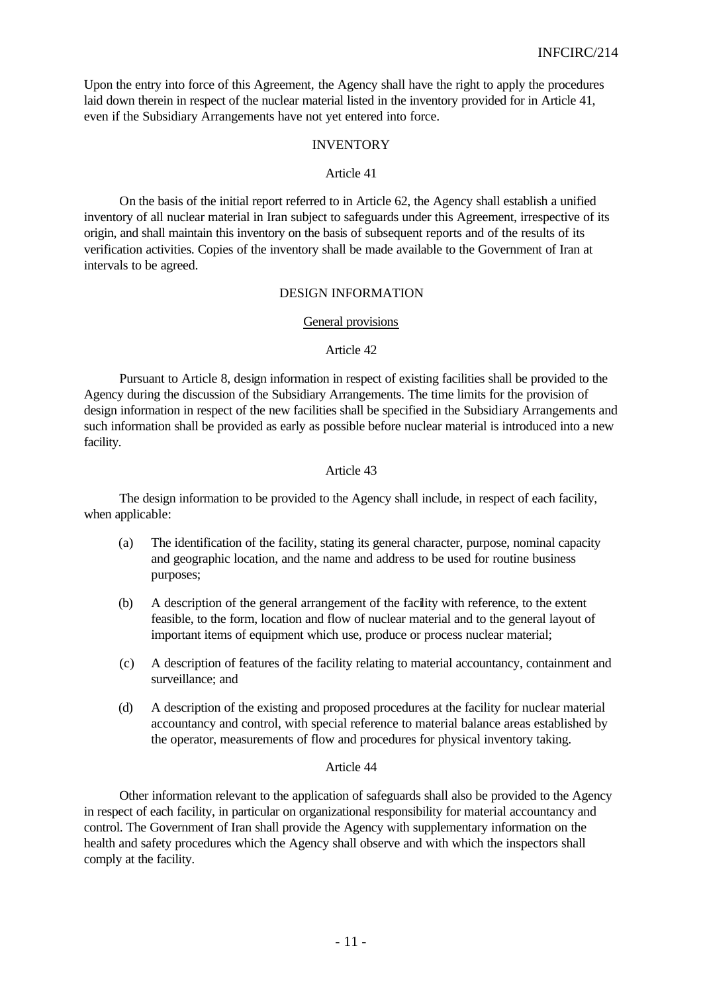Upon the entry into force of this Agreement, the Agency shall have the right to apply the procedures laid down therein in respect of the nuclear material listed in the inventory provided for in Article 41, even if the Subsidiary Arrangements have not yet entered into force.

## INVENTORY

#### Article 41

On the basis of the initial report referred to in Article 62, the Agency shall establish a unified inventory of all nuclear material in Iran subject to safeguards under this Agreement, irrespective of its origin, and shall maintain this inventory on the basis of subsequent reports and of the results of its verification activities. Copies of the inventory shall be made available to the Government of Iran at intervals to be agreed.

#### DESIGN INFORMATION

#### General provisions

#### Article 42

Pursuant to Article 8, design information in respect of existing facilities shall be provided to the Agency during the discussion of the Subsidiary Arrangements. The time limits for the provision of design information in respect of the new facilities shall be specified in the Subsidiary Arrangements and such information shall be provided as early as possible before nuclear material is introduced into a new facility.

#### Article 43

The design information to be provided to the Agency shall include, in respect of each facility, when applicable:

- (a) The identification of the facility, stating its general character, purpose, nominal capacity and geographic location, and the name and address to be used for routine business purposes;
- (b) A description of the general arrangement of the facility with reference, to the extent feasible, to the form, location and flow of nuclear material and to the general layout of important items of equipment which use, produce or process nuclear material;
- (c) A description of features of the facility relating to material accountancy, containment and surveillance; and
- (d) A description of the existing and proposed procedures at the facility for nuclear material accountancy and control, with special reference to material balance areas established by the operator, measurements of flow and procedures for physical inventory taking.

#### Article 44

Other information relevant to the application of safeguards shall also be provided to the Agency in respect of each facility, in particular on organizational responsibility for material accountancy and control. The Government of Iran shall provide the Agency with supplementary information on the health and safety procedures which the Agency shall observe and with which the inspectors shall comply at the facility.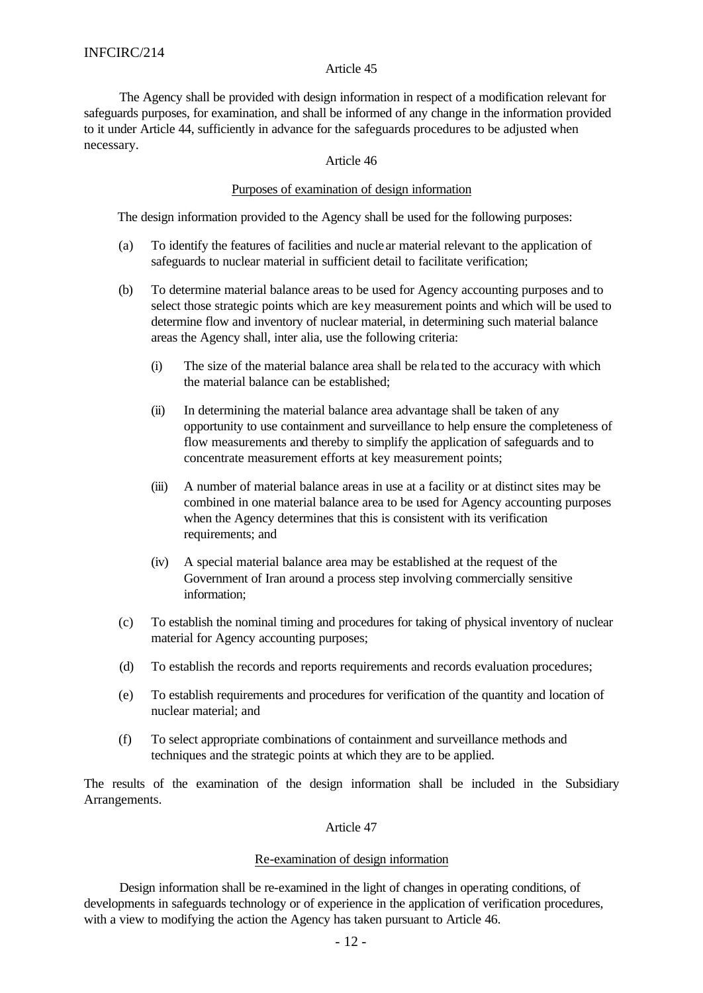The Agency shall be provided with design information in respect of a modification relevant for safeguards purposes, for examination, and shall be informed of any change in the information provided to it under Article 44, sufficiently in advance for the safeguards procedures to be adjusted when necessary.

#### Article 46

# Purposes of examination of design information

The design information provided to the Agency shall be used for the following purposes:

- (a) To identify the features of facilities and nucle ar material relevant to the application of safeguards to nuclear material in sufficient detail to facilitate verification;
- (b) To determine material balance areas to be used for Agency accounting purposes and to select those strategic points which are key measurement points and which will be used to determine flow and inventory of nuclear material, in determining such material balance areas the Agency shall, inter alia, use the following criteria:
	- (i) The size of the material balance area shall be rela ted to the accuracy with which the material balance can be established;
	- (ii) In determining the material balance area advantage shall be taken of any opportunity to use containment and surveillance to help ensure the completeness of flow measurements and thereby to simplify the application of safeguards and to concentrate measurement efforts at key measurement points;
	- (iii) A number of material balance areas in use at a facility or at distinct sites may be combined in one material balance area to be used for Agency accounting purposes when the Agency determines that this is consistent with its verification requirements; and
	- (iv) A special material balance area may be established at the request of the Government of Iran around a process step involving commercially sensitive information;
- (c) To establish the nominal timing and procedures for taking of physical inventory of nuclear material for Agency accounting purposes;
- (d) To establish the records and reports requirements and records evaluation procedures;
- (e) To establish requirements and procedures for verification of the quantity and location of nuclear material; and
- (f) To select appropriate combinations of containment and surveillance methods and techniques and the strategic points at which they are to be applied.

The results of the examination of the design information shall be included in the Subsidiary Arrangements.

#### Article 47

# Re-examination of design information

Design information shall be re-examined in the light of changes in operating conditions, of developments in safeguards technology or of experience in the application of verification procedures, with a view to modifying the action the Agency has taken pursuant to Article 46.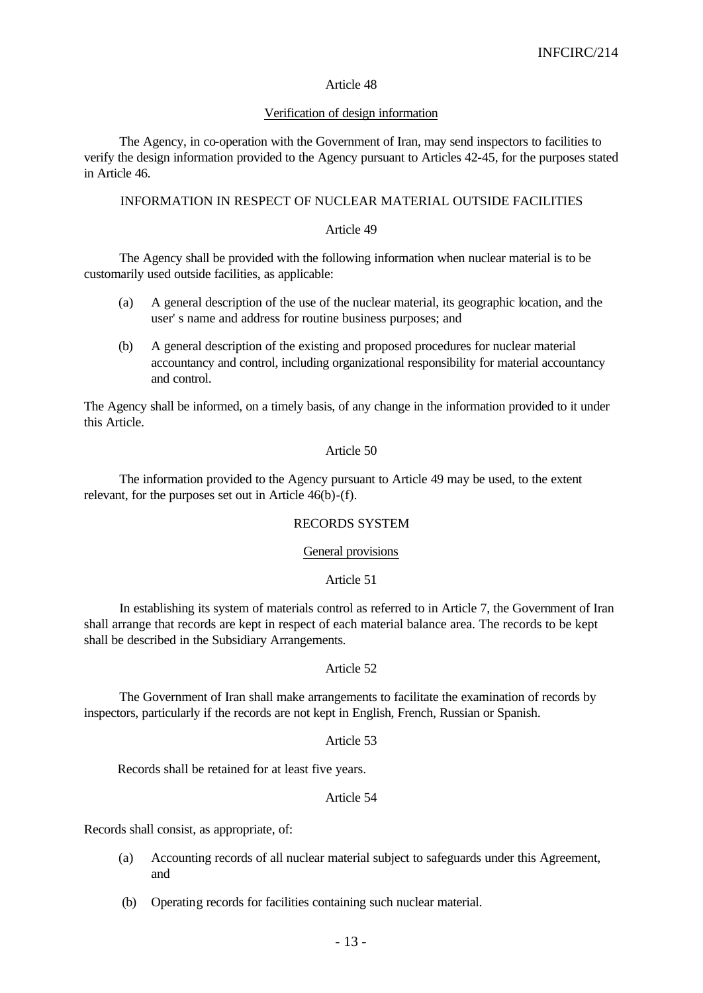#### Verification of design information

The Agency, in co-operation with the Government of Iran, may send inspectors to facilities to verify the design information provided to the Agency pursuant to Articles 42-45, for the purposes stated in Article 46.

#### INFORMATION IN RESPECT OF NUCLEAR MATERIAL OUTSIDE FACILITIES

#### Article 49

The Agency shall be provided with the following information when nuclear material is to be customarily used outside facilities, as applicable:

- (a) A general description of the use of the nuclear material, its geographic location, and the user' s name and address for routine business purposes; and
- (b) A general description of the existing and proposed procedures for nuclear material accountancy and control, including organizational responsibility for material accountancy and control.

The Agency shall be informed, on a timely basis, of any change in the information provided to it under this Article.

#### Article 50

The information provided to the Agency pursuant to Article 49 may be used, to the extent relevant, for the purposes set out in Article 46(b)-(f).

#### RECORDS SYSTEM

#### General provisions

### Article 51

In establishing its system of materials control as referred to in Article 7, the Government of Iran shall arrange that records are kept in respect of each material balance area. The records to be kept shall be described in the Subsidiary Arrangements.

#### Article 52

The Government of Iran shall make arrangements to facilitate the examination of records by inspectors, particularly if the records are not kept in English, French, Russian or Spanish.

### Article 53

Records shall be retained for at least five years.

# Article 54

Records shall consist, as appropriate, of:

- (a) Accounting records of all nuclear material subject to safeguards under this Agreement, and
- (b) Operating records for facilities containing such nuclear material.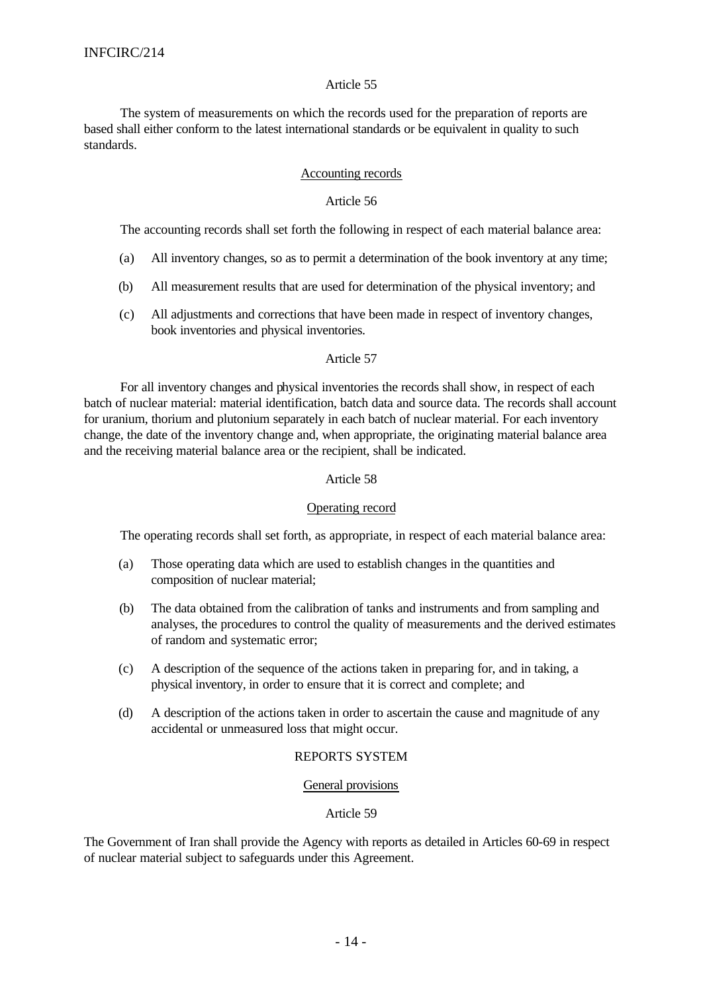The system of measurements on which the records used for the preparation of reports are based shall either conform to the latest international standards or be equivalent in quality to such standards.

## Accounting records

# Article 56

The accounting records shall set forth the following in respect of each material balance area:

- (a) All inventory changes, so as to permit a determination of the book inventory at any time;
- (b) All measurement results that are used for determination of the physical inventory; and
- (c) All adjustments and corrections that have been made in respect of inventory changes, book inventories and physical inventories.

# Article 57

For all inventory changes and physical inventories the records shall show, in respect of each batch of nuclear material: material identification, batch data and source data. The records shall account for uranium, thorium and plutonium separately in each batch of nuclear material. For each inventory change, the date of the inventory change and, when appropriate, the originating material balance area and the receiving material balance area or the recipient, shall be indicated.

# Article 58

# Operating record

The operating records shall set forth, as appropriate, in respect of each material balance area:

- (a) Those operating data which are used to establish changes in the quantities and composition of nuclear material;
- (b) The data obtained from the calibration of tanks and instruments and from sampling and analyses, the procedures to control the quality of measurements and the derived estimates of random and systematic error;
- (c) A description of the sequence of the actions taken in preparing for, and in taking, a physical inventory, in order to ensure that it is correct and complete; and
- (d) A description of the actions taken in order to ascertain the cause and magnitude of any accidental or unmeasured loss that might occur.

# REPORTS SYSTEM

#### General provisions

# Article 59

The Government of Iran shall provide the Agency with reports as detailed in Articles 60-69 in respect of nuclear material subject to safeguards under this Agreement.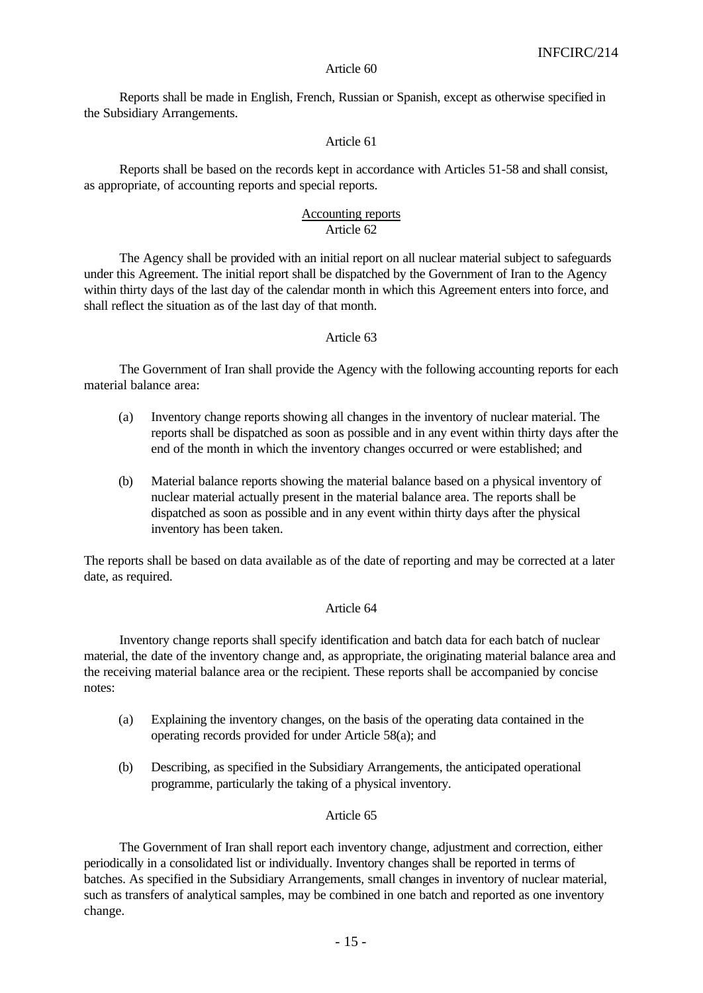Reports shall be made in English, French, Russian or Spanish, except as otherwise specified in the Subsidiary Arrangements.

# Article 61

Reports shall be based on the records kept in accordance with Articles 51-58 and shall consist, as appropriate, of accounting reports and special reports.

## Accounting reports Article 62

The Agency shall be provided with an initial report on all nuclear material subject to safeguards under this Agreement. The initial report shall be dispatched by the Government of Iran to the Agency within thirty days of the last day of the calendar month in which this Agreement enters into force, and shall reflect the situation as of the last day of that month.

# Article 63

The Government of Iran shall provide the Agency with the following accounting reports for each material balance area:

- (a) Inventory change reports showing all changes in the inventory of nuclear material. The reports shall be dispatched as soon as possible and in any event within thirty days after the end of the month in which the inventory changes occurred or were established; and
- (b) Material balance reports showing the material balance based on a physical inventory of nuclear material actually present in the material balance area. The reports shall be dispatched as soon as possible and in any event within thirty days after the physical inventory has been taken.

The reports shall be based on data available as of the date of reporting and may be corrected at a later date, as required.

# Article 64

Inventory change reports shall specify identification and batch data for each batch of nuclear material, the date of the inventory change and, as appropriate, the originating material balance area and the receiving material balance area or the recipient. These reports shall be accompanied by concise notes:

- (a) Explaining the inventory changes, on the basis of the operating data contained in the operating records provided for under Article 58(a); and
- (b) Describing, as specified in the Subsidiary Arrangements, the anticipated operational programme, particularly the taking of a physical inventory.

# Article 65

The Government of Iran shall report each inventory change, adjustment and correction, either periodically in a consolidated list or individually. Inventory changes shall be reported in terms of batches. As specified in the Subsidiary Arrangements, small changes in inventory of nuclear material, such as transfers of analytical samples, may be combined in one batch and reported as one inventory change.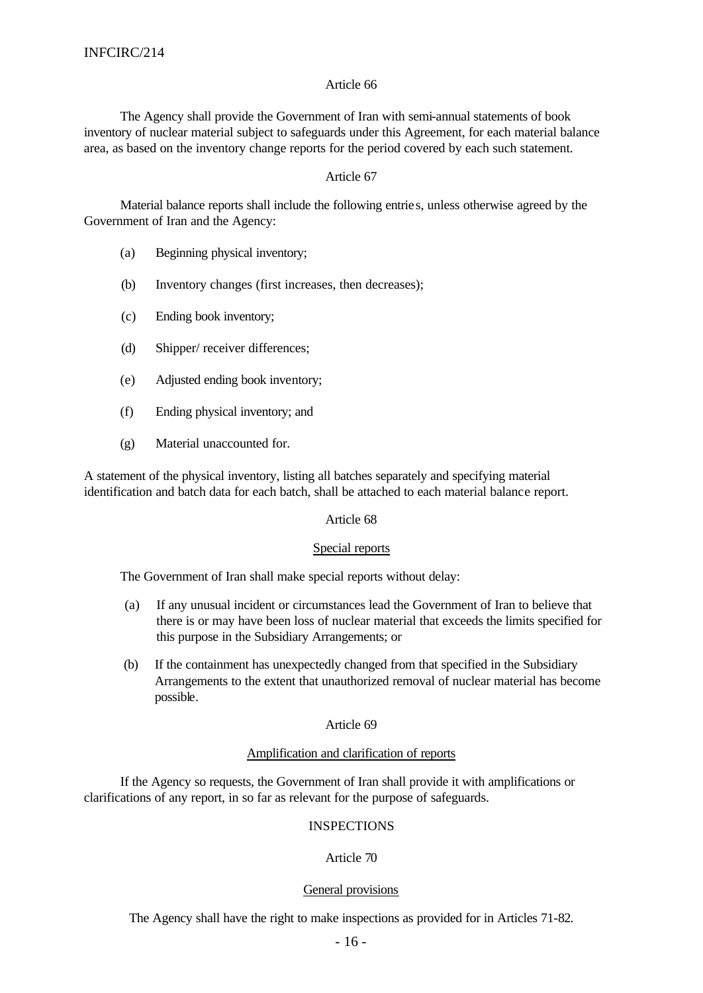The Agency shall provide the Government of Iran with semi-annual statements of book inventory of nuclear material subject to safeguards under this Agreement, for each material balance area, as based on the inventory change reports for the period covered by each such statement.

# Article 67

Material balance reports shall include the following entries, unless otherwise agreed by the Government of Iran and the Agency:

- (a) Beginning physical inventory;
- (b) Inventory changes (first increases, then decreases);
- (c) Ending book inventory;
- (d) Shipper/ receiver differences;
- (e) Adjusted ending book inventory;
- (f) Ending physical inventory; and
- (g) Material unaccounted for.

A statement of the physical inventory, listing all batches separately and specifying material identification and batch data for each batch, shall be attached to each material balance report.

#### Article 68

#### Special reports

The Government of Iran shall make special reports without delay:

- (a) If any unusual incident or circumstances lead the Government of Iran to believe that there is or may have been loss of nuclear material that exceeds the limits specified for this purpose in the Subsidiary Arrangements; or
- (b) If the containment has unexpectedly changed from that specified in the Subsidiary Arrangements to the extent that unauthorized removal of nuclear material has become possible.

#### Article 69

#### Amplification and clarification of reports

If the Agency so requests, the Government of Iran shall provide it with amplifications or clarifications of any report, in so far as relevant for the purpose of safeguards.

#### **INSPECTIONS**

#### Article 70

#### General provisions

The Agency shall have the right to make inspections as provided for in Articles 71-82.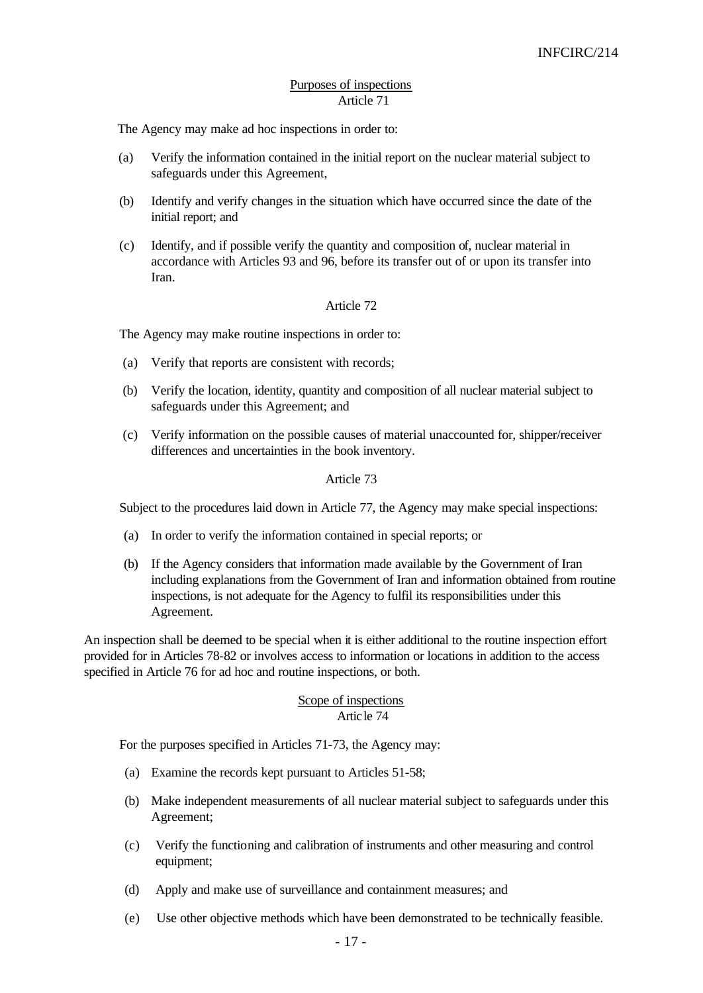#### Purposes of inspections Article 71

The Agency may make ad hoc inspections in order to:

- (a) Verify the information contained in the initial report on the nuclear material subject to safeguards under this Agreement,
- (b) Identify and verify changes in the situation which have occurred since the date of the initial report; and
- (c) Identify, and if possible verify the quantity and composition of, nuclear material in accordance with Articles 93 and 96, before its transfer out of or upon its transfer into Iran.

#### Article 72

The Agency may make routine inspections in order to:

- (a) Verify that reports are consistent with records;
- (b) Verify the location, identity, quantity and composition of all nuclear material subject to safeguards under this Agreement; and
- (c) Verify information on the possible causes of material unaccounted for, shipper/receiver differences and uncertainties in the book inventory.

#### Article 73

Subject to the procedures laid down in Article 77, the Agency may make special inspections:

- (a) In order to verify the information contained in special reports; or
- (b) If the Agency considers that information made available by the Government of Iran including explanations from the Government of Iran and information obtained from routine inspections, is not adequate for the Agency to fulfil its responsibilities under this Agreement.

An inspection shall be deemed to be special when it is either additional to the routine inspection effort provided for in Articles 78-82 or involves access to information or locations in addition to the access specified in Article 76 for ad hoc and routine inspections, or both.

#### Scope of inspections Article 74

For the purposes specified in Articles 71-73, the Agency may:

- (a) Examine the records kept pursuant to Articles 51-58;
- (b) Make independent measurements of all nuclear material subject to safeguards under this Agreement;
- (c) Verify the functioning and calibration of instruments and other measuring and control equipment;
- (d) Apply and make use of surveillance and containment measures; and
- (e) Use other objective methods which have been demonstrated to be technically feasible.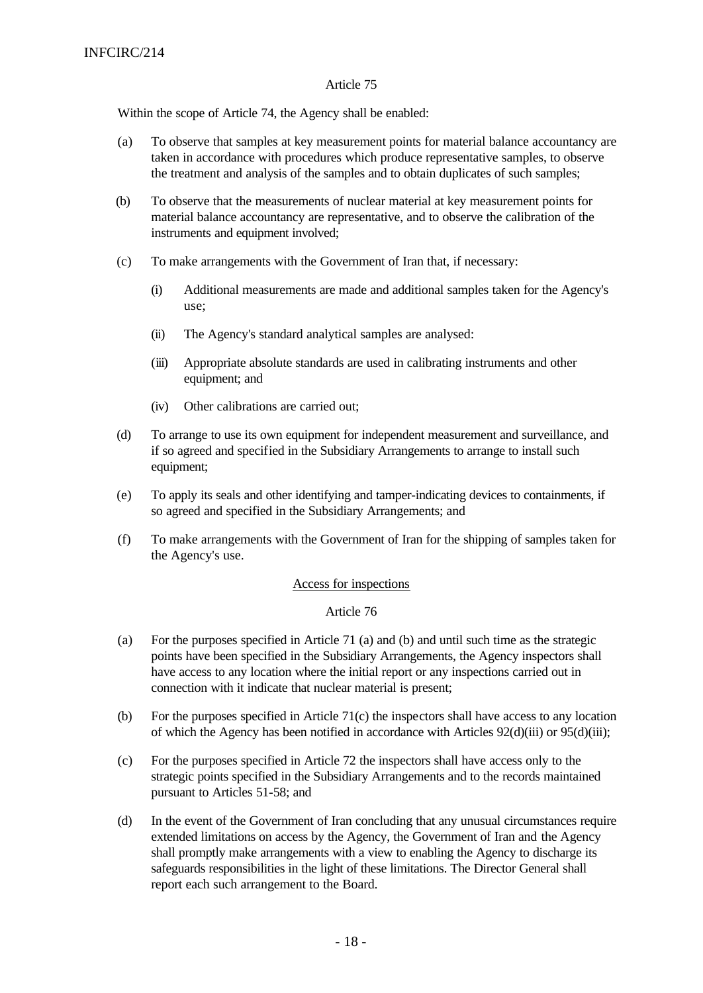Within the scope of Article 74, the Agency shall be enabled:

- (a) To observe that samples at key measurement points for material balance accountancy are taken in accordance with procedures which produce representative samples, to observe the treatment and analysis of the samples and to obtain duplicates of such samples;
- (b) To observe that the measurements of nuclear material at key measurement points for material balance accountancy are representative, and to observe the calibration of the instruments and equipment involved;
- (c) To make arrangements with the Government of Iran that, if necessary:
	- (i) Additional measurements are made and additional samples taken for the Agency's use;
	- (ii) The Agency's standard analytical samples are analysed:
	- (iii) Appropriate absolute standards are used in calibrating instruments and other equipment; and
	- (iv) Other calibrations are carried out;
- (d) To arrange to use its own equipment for independent measurement and surveillance, and if so agreed and specified in the Subsidiary Arrangements to arrange to install such equipment;
- (e) To apply its seals and other identifying and tamper-indicating devices to containments, if so agreed and specified in the Subsidiary Arrangements; and
- (f) To make arrangements with the Government of Iran for the shipping of samples taken for the Agency's use.

#### Access for inspections

#### Article 76

- (a) For the purposes specified in Article 71 (a) and (b) and until such time as the strategic points have been specified in the Subsidiary Arrangements, the Agency inspectors shall have access to any location where the initial report or any inspections carried out in connection with it indicate that nuclear material is present;
- (b) For the purposes specified in Article 71(c) the inspectors shall have access to any location of which the Agency has been notified in accordance with Articles 92(d)(iii) or 95(d)(iii);
- (c) For the purposes specified in Article 72 the inspectors shall have access only to the strategic points specified in the Subsidiary Arrangements and to the records maintained pursuant to Articles 51-58; and
- (d) In the event of the Government of Iran concluding that any unusual circumstances require extended limitations on access by the Agency, the Government of Iran and the Agency shall promptly make arrangements with a view to enabling the Agency to discharge its safeguards responsibilities in the light of these limitations. The Director General shall report each such arrangement to the Board.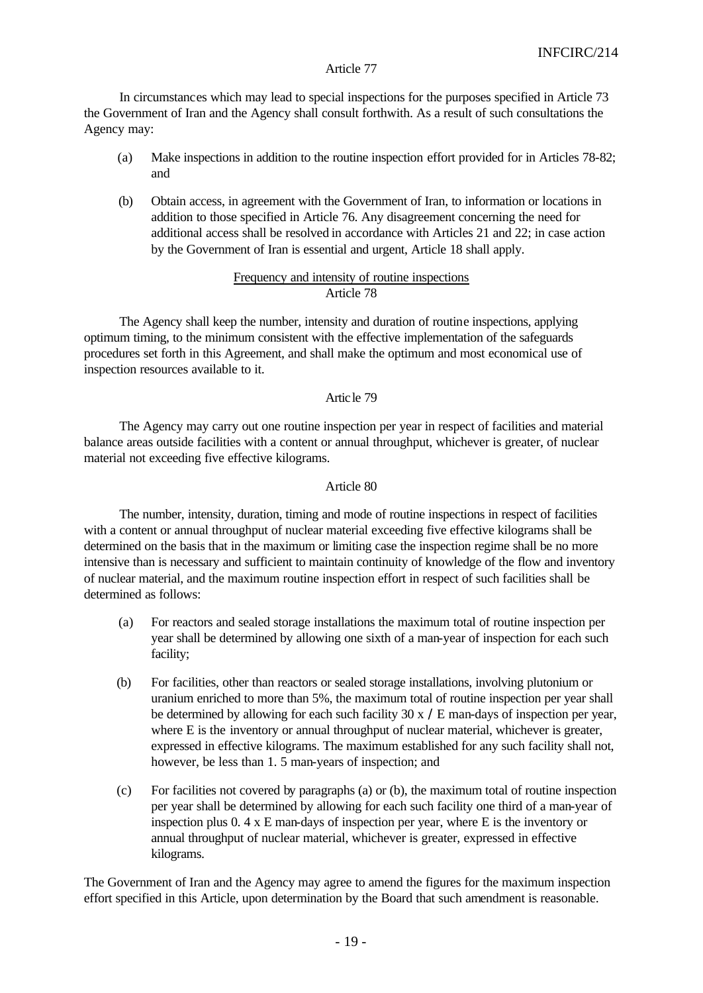In circumstances which may lead to special inspections for the purposes specified in Article 73 the Government of Iran and the Agency shall consult forthwith. As a result of such consultations the Agency may:

- (a) Make inspections in addition to the routine inspection effort provided for in Articles 78-82; and
- (b) Obtain access, in agreement with the Government of Iran, to information or locations in addition to those specified in Article 76. Any disagreement concerning the need for additional access shall be resolved in accordance with Articles 21 and 22; in case action by the Government of Iran is essential and urgent, Article 18 shall apply.

# Frequency and intensity of routine inspections Article 78

The Agency shall keep the number, intensity and duration of routine inspections, applying optimum timing, to the minimum consistent with the effective implementation of the safeguards procedures set forth in this Agreement, and shall make the optimum and most economical use of inspection resources available to it.

# Article 79

The Agency may carry out one routine inspection per year in respect of facilities and material balance areas outside facilities with a content or annual throughput, whichever is greater, of nuclear material not exceeding five effective kilograms.

# Article 80

The number, intensity, duration, timing and mode of routine inspections in respect of facilities with a content or annual throughput of nuclear material exceeding five effective kilograms shall be determined on the basis that in the maximum or limiting case the inspection regime shall be no more intensive than is necessary and sufficient to maintain continuity of knowledge of the flow and inventory of nuclear material, and the maximum routine inspection effort in respect of such facilities shall be determined as follows:

- (a) For reactors and sealed storage installations the maximum total of routine inspection per year shall be determined by allowing one sixth of a man-year of inspection for each such facility;
- (b) For facilities, other than reactors or sealed storage installations, involving plutonium or uranium enriched to more than 5%, the maximum total of routine inspection per year shall be determined by allowing for each such facility 30 x /E man-days of inspection per year, where E is the inventory or annual throughput of nuclear material, whichever is greater, expressed in effective kilograms. The maximum established for any such facility shall not, however, be less than 1.5 man-years of inspection; and
- (c) For facilities not covered by paragraphs (a) or (b), the maximum total of routine inspection per year shall be determined by allowing for each such facility one third of a man-year of inspection plus 0. 4 x E man-days of inspection per year, where E is the inventory or annual throughput of nuclear material, whichever is greater, expressed in effective kilograms.

The Government of Iran and the Agency may agree to amend the figures for the maximum inspection effort specified in this Article, upon determination by the Board that such amendment is reasonable.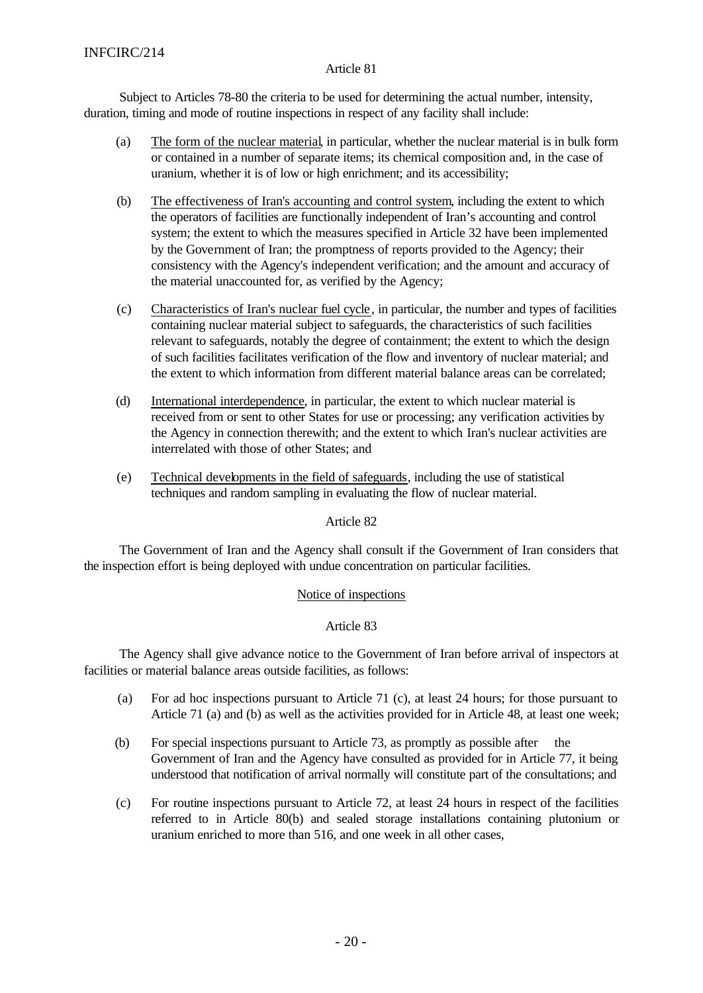Subject to Articles 78-80 the criteria to be used for determining the actual number, intensity, duration, timing and mode of routine inspections in respect of any facility shall include:

- (a) The form of the nuclear material, in particular, whether the nuclear material is in bulk form or contained in a number of separate items; its chemical composition and, in the case of uranium, whether it is of low or high enrichment; and its accessibility;
- (b) The effectiveness of Iran's accounting and control system, including the extent to which the operators of facilities are functionally independent of Iran's accounting and control system; the extent to which the measures specified in Article 32 have been implemented by the Government of Iran; the promptness of reports provided to the Agency; their consistency with the Agency's independent verification; and the amount and accuracy of the material unaccounted for, as verified by the Agency;
- (c) Characteristics of Iran's nuclear fuel cycle, in particular, the number and types of facilities containing nuclear material subject to safeguards, the characteristics of such facilities relevant to safeguards, notably the degree of containment; the extent to which the design of such facilities facilitates verification of the flow and inventory of nuclear material; and the extent to which information from different material balance areas can be correlated;
- (d) International interdependence, in particular, the extent to which nuclear material is received from or sent to other States for use or processing; any verification activities by the Agency in connection therewith; and the extent to which Iran's nuclear activities are interrelated with those of other States; and
- (e) Technical developments in the field of safeguards, including the use of statistical techniques and random sampling in evaluating the flow of nuclear material.

# Article 82

The Government of Iran and the Agency shall consult if the Government of Iran considers that the inspection effort is being deployed with undue concentration on particular facilities.

# Notice of inspections

# Article 83

The Agency shall give advance notice to the Government of Iran before arrival of inspectors at facilities or material balance areas outside facilities, as follows:

- (a) For ad hoc inspections pursuant to Article 71 (c), at least 24 hours; for those pursuant to Article 71 (a) and (b) as well as the activities provided for in Article 48, at least one week;
- (b) For special inspections pursuant to Article 73, as promptly as possible after the Government of Iran and the Agency have consulted as provided for in Article 77, it being understood that notification of arrival normally will constitute part of the consultations; and
- (c) For routine inspections pursuant to Article 72, at least 24 hours in respect of the facilities referred to in Article 80(b) and sealed storage installations containing plutonium or uranium enriched to more than 516, and one week in all other cases,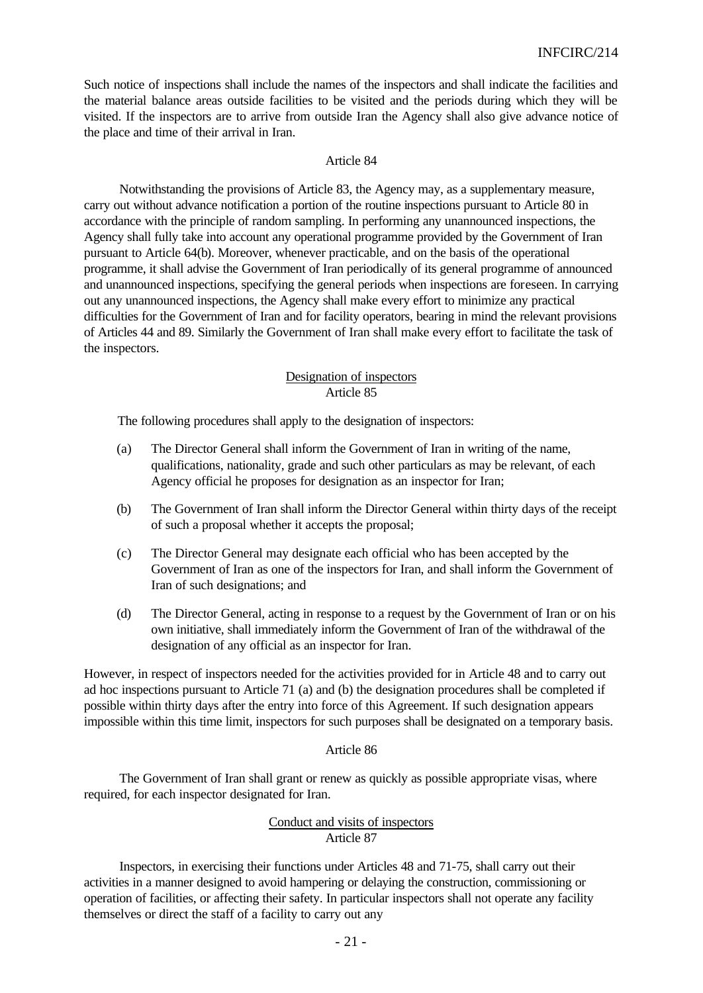Such notice of inspections shall include the names of the inspectors and shall indicate the facilities and the material balance areas outside facilities to be visited and the periods during which they will be visited. If the inspectors are to arrive from outside Iran the Agency shall also give advance notice of the place and time of their arrival in Iran.

#### Article 84

Notwithstanding the provisions of Article 83, the Agency may, as a supplementary measure, carry out without advance notification a portion of the routine inspections pursuant to Article 80 in accordance with the principle of random sampling. In performing any unannounced inspections, the Agency shall fully take into account any operational programme provided by the Government of Iran pursuant to Article 64(b). Moreover, whenever practicable, and on the basis of the operational programme, it shall advise the Government of Iran periodically of its general programme of announced and unannounced inspections, specifying the general periods when inspections are foreseen. In carrying out any unannounced inspections, the Agency shall make every effort to minimize any practical difficulties for the Government of Iran and for facility operators, bearing in mind the relevant provisions of Articles 44 and 89. Similarly the Government of Iran shall make every effort to facilitate the task of the inspectors.

#### Designation of inspectors Article 85

The following procedures shall apply to the designation of inspectors:

- (a) The Director General shall inform the Government of Iran in writing of the name, qualifications, nationality, grade and such other particulars as may be relevant, of each Agency official he proposes for designation as an inspector for Iran;
- (b) The Government of Iran shall inform the Director General within thirty days of the receipt of such a proposal whether it accepts the proposal;
- (c) The Director General may designate each official who has been accepted by the Government of Iran as one of the inspectors for Iran, and shall inform the Government of Iran of such designations; and
- (d) The Director General, acting in response to a request by the Government of Iran or on his own initiative, shall immediately inform the Government of Iran of the withdrawal of the designation of any official as an inspector for Iran.

However, in respect of inspectors needed for the activities provided for in Article 48 and to carry out ad hoc inspections pursuant to Article 71 (a) and (b) the designation procedures shall be completed if possible within thirty days after the entry into force of this Agreement. If such designation appears impossible within this time limit, inspectors for such purposes shall be designated on a temporary basis.

#### Article 86

The Government of Iran shall grant or renew as quickly as possible appropriate visas, where required, for each inspector designated for Iran.

#### Conduct and visits of inspectors Article 87

Inspectors, in exercising their functions under Articles 48 and 71-75, shall carry out their activities in a manner designed to avoid hampering or delaying the construction, commissioning or operation of facilities, or affecting their safety. In particular inspectors shall not operate any facility themselves or direct the staff of a facility to carry out any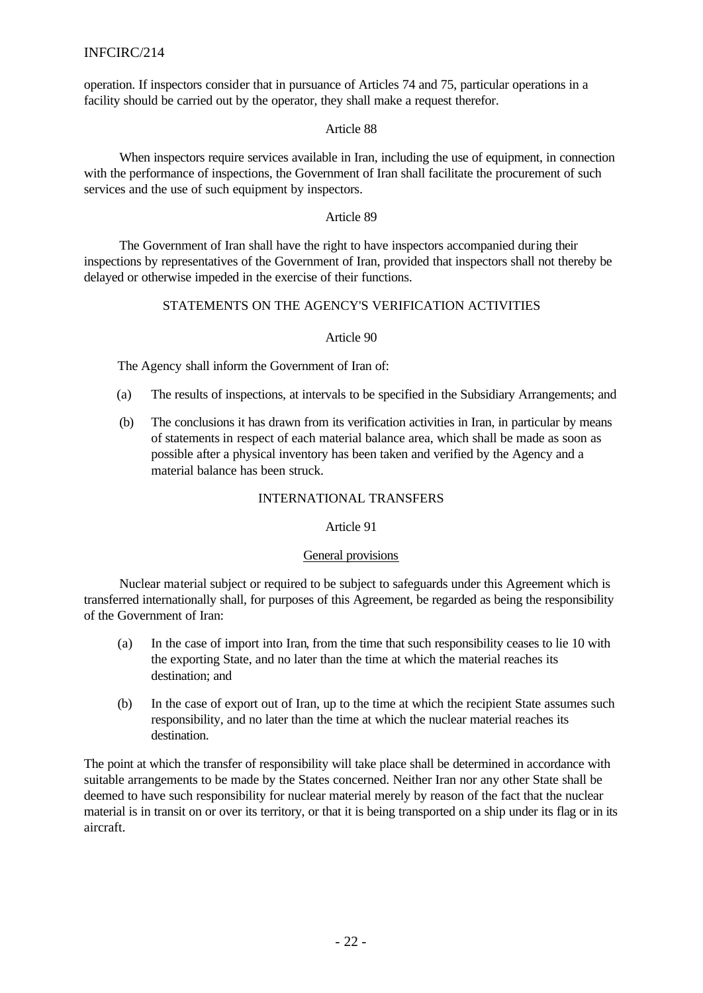operation. If inspectors consider that in pursuance of Articles 74 and 75, particular operations in a facility should be carried out by the operator, they shall make a request therefor.

# Article 88

When inspectors require services available in Iran, including the use of equipment, in connection with the performance of inspections, the Government of Iran shall facilitate the procurement of such services and the use of such equipment by inspectors.

# Article 89

The Government of Iran shall have the right to have inspectors accompanied during their inspections by representatives of the Government of Iran, provided that inspectors shall not thereby be delayed or otherwise impeded in the exercise of their functions.

# STATEMENTS ON THE AGENCY'S VERIFICATION ACTIVITIES

# Article 90

The Agency shall inform the Government of Iran of:

- (a) The results of inspections, at intervals to be specified in the Subsidiary Arrangements; and
- (b) The conclusions it has drawn from its verification activities in Iran, in particular by means of statements in respect of each material balance area, which shall be made as soon as possible after a physical inventory has been taken and verified by the Agency and a material balance has been struck.

# INTERNATIONAL TRANSFERS

#### Article 91

#### General provisions

Nuclear material subject or required to be subject to safeguards under this Agreement which is transferred internationally shall, for purposes of this Agreement, be regarded as being the responsibility of the Government of Iran:

- (a) In the case of import into Iran, from the time that such responsibility ceases to lie 10 with the exporting State, and no later than the time at which the material reaches its destination; and
- (b) In the case of export out of Iran, up to the time at which the recipient State assumes such responsibility, and no later than the time at which the nuclear material reaches its destination.

The point at which the transfer of responsibility will take place shall be determined in accordance with suitable arrangements to be made by the States concerned. Neither Iran nor any other State shall be deemed to have such responsibility for nuclear material merely by reason of the fact that the nuclear material is in transit on or over its territory, or that it is being transported on a ship under its flag or in its aircraft.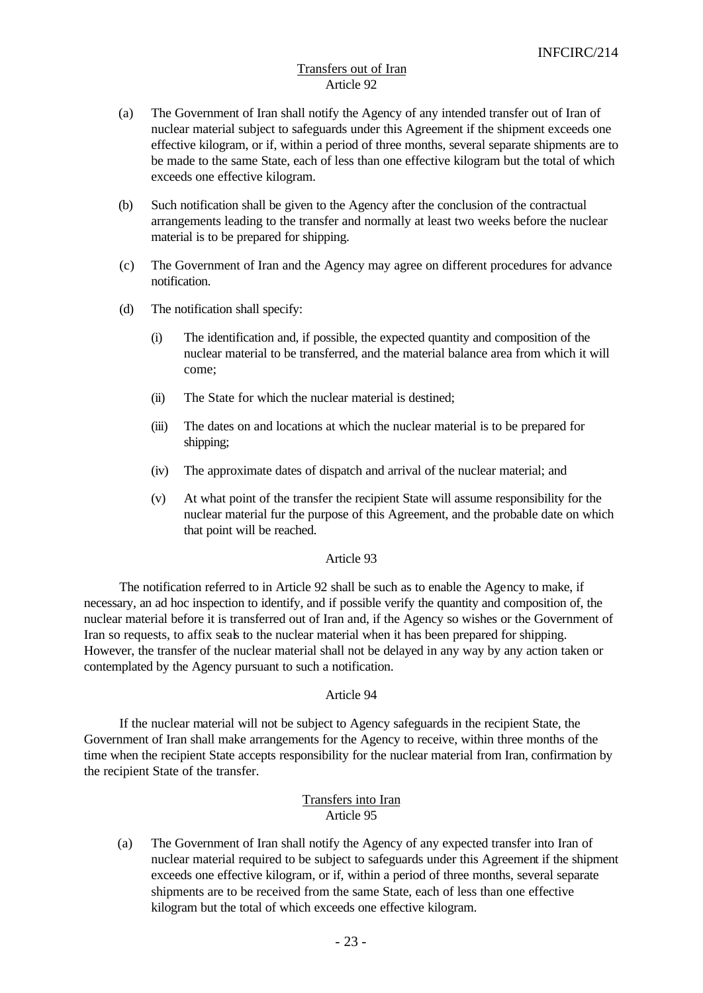## Transfers out of Iran Article 92

- (a) The Government of Iran shall notify the Agency of any intended transfer out of Iran of nuclear material subject to safeguards under this Agreement if the shipment exceeds one effective kilogram, or if, within a period of three months, several separate shipments are to be made to the same State, each of less than one effective kilogram but the total of which exceeds one effective kilogram.
- (b) Such notification shall be given to the Agency after the conclusion of the contractual arrangements leading to the transfer and normally at least two weeks before the nuclear material is to be prepared for shipping.
- (c) The Government of Iran and the Agency may agree on different procedures for advance notification.
- (d) The notification shall specify:
	- (i) The identification and, if possible, the expected quantity and composition of the nuclear material to be transferred, and the material balance area from which it will come;
	- (ii) The State for which the nuclear material is destined;
	- (iii) The dates on and locations at which the nuclear material is to be prepared for shipping;
	- (iv) The approximate dates of dispatch and arrival of the nuclear material; and
	- (v) At what point of the transfer the recipient State will assume responsibility for the nuclear material fur the purpose of this Agreement, and the probable date on which that point will be reached.

#### Article 93

The notification referred to in Article 92 shall be such as to enable the Agency to make, if necessary, an ad hoc inspection to identify, and if possible verify the quantity and composition of, the nuclear material before it is transferred out of Iran and, if the Agency so wishes or the Government of Iran so requests, to affix seals to the nuclear material when it has been prepared for shipping. However, the transfer of the nuclear material shall not be delayed in any way by any action taken or contemplated by the Agency pursuant to such a notification.

#### Article 94

If the nuclear material will not be subject to Agency safeguards in the recipient State, the Government of Iran shall make arrangements for the Agency to receive, within three months of the time when the recipient State accepts responsibility for the nuclear material from Iran, confirmation by the recipient State of the transfer.

# Transfers into Iran Article 95

(a) The Government of Iran shall notify the Agency of any expected transfer into Iran of nuclear material required to be subject to safeguards under this Agreement if the shipment exceeds one effective kilogram, or if, within a period of three months, several separate shipments are to be received from the same State, each of less than one effective kilogram but the total of which exceeds one effective kilogram.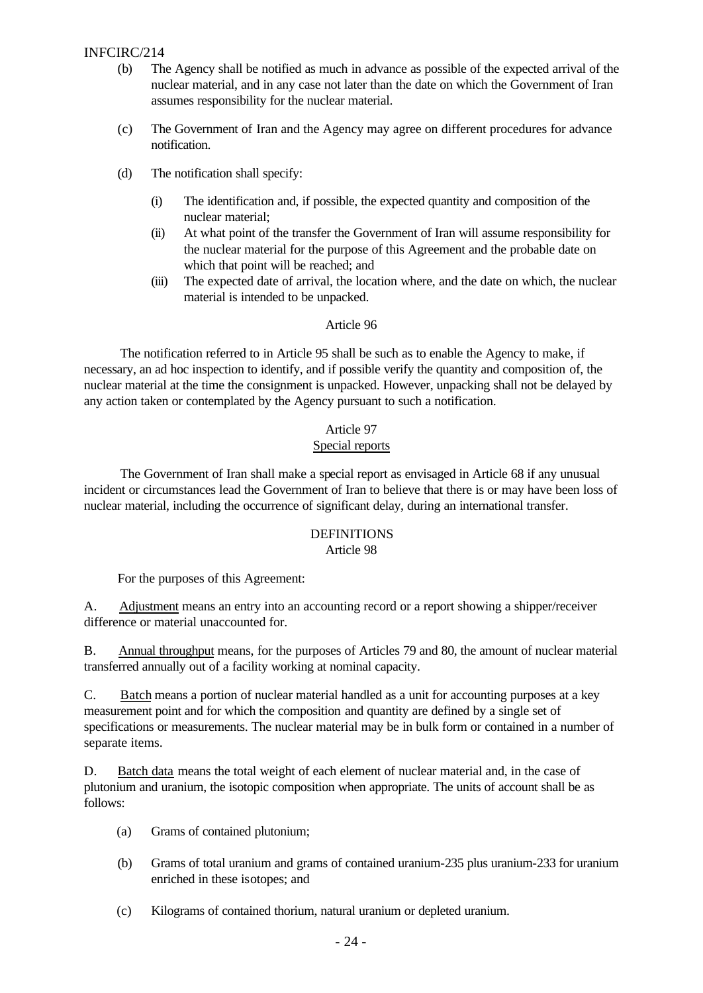# INFCIRC/214

- (b) The Agency shall be notified as much in advance as possible of the expected arrival of the nuclear material, and in any case not later than the date on which the Government of Iran assumes responsibility for the nuclear material.
- (c) The Government of Iran and the Agency may agree on different procedures for advance notification.
- (d) The notification shall specify:
	- (i) The identification and, if possible, the expected quantity and composition of the nuclear material;
	- (ii) At what point of the transfer the Government of Iran will assume responsibility for the nuclear material for the purpose of this Agreement and the probable date on which that point will be reached; and
	- (iii) The expected date of arrival, the location where, and the date on which, the nuclear material is intended to be unpacked.

#### Article 96

The notification referred to in Article 95 shall be such as to enable the Agency to make, if necessary, an ad hoc inspection to identify, and if possible verify the quantity and composition of, the nuclear material at the time the consignment is unpacked. However, unpacking shall not be delayed by any action taken or contemplated by the Agency pursuant to such a notification.

#### Article 97 Special reports

The Government of Iran shall make a special report as envisaged in Article 68 if any unusual incident or circumstances lead the Government of Iran to believe that there is or may have been loss of nuclear material, including the occurrence of significant delay, during an international transfer.

# DEFINITIONS

# Article 98

For the purposes of this Agreement:

A. Adjustment means an entry into an accounting record or a report showing a shipper/receiver difference or material unaccounted for.

B. Annual throughput means, for the purposes of Articles 79 and 80, the amount of nuclear material transferred annually out of a facility working at nominal capacity.

C. Batch means a portion of nuclear material handled as a unit for accounting purposes at a key measurement point and for which the composition and quantity are defined by a single set of specifications or measurements. The nuclear material may be in bulk form or contained in a number of separate items.

D. Batch data means the total weight of each element of nuclear material and, in the case of plutonium and uranium, the isotopic composition when appropriate. The units of account shall be as follows:

- (a) Grams of contained plutonium;
- (b) Grams of total uranium and grams of contained uranium-235 plus uranium-233 for uranium enriched in these isotopes; and
- (c) Kilograms of contained thorium, natural uranium or depleted uranium.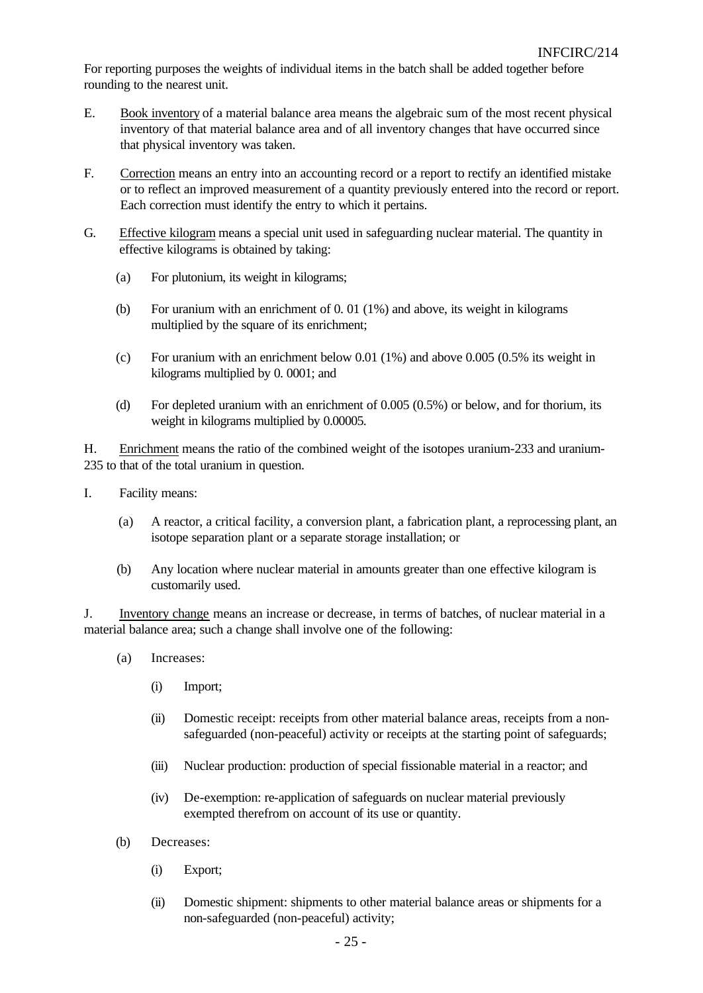For reporting purposes the weights of individual items in the batch shall be added together before rounding to the nearest unit.

- E. Book inventory of a material balance area means the algebraic sum of the most recent physical inventory of that material balance area and of all inventory changes that have occurred since that physical inventory was taken.
- F. Correction means an entry into an accounting record or a report to rectify an identified mistake or to reflect an improved measurement of a quantity previously entered into the record or report. Each correction must identify the entry to which it pertains.
- G. Effective kilogram means a special unit used in safeguarding nuclear material. The quantity in effective kilograms is obtained by taking:
	- (a) For plutonium, its weight in kilograms;
	- (b) For uranium with an enrichment of 0. 01 (1%) and above, its weight in kilograms multiplied by the square of its enrichment;
	- (c) For uranium with an enrichment below 0.01 (1%) and above 0.005 (0.5% its weight in kilograms multiplied by 0. 0001; and
	- (d) For depleted uranium with an enrichment of 0.005 (0.5%) or below, and for thorium, its weight in kilograms multiplied by 0.00005.

H. Enrichment means the ratio of the combined weight of the isotopes uranium-233 and uranium-235 to that of the total uranium in question.

- I. Facility means:
	- (a) A reactor, a critical facility, a conversion plant, a fabrication plant, a reprocessing plant, an isotope separation plant or a separate storage installation; or
	- (b) Any location where nuclear material in amounts greater than one effective kilogram is customarily used.

J. Inventory change means an increase or decrease, in terms of batches, of nuclear material in a material balance area; such a change shall involve one of the following:

- (a) Increases:
	- (i) Import;
	- (ii) Domestic receipt: receipts from other material balance areas, receipts from a nonsafeguarded (non-peaceful) activity or receipts at the starting point of safeguards;
	- (iii) Nuclear production: production of special fissionable material in a reactor; and
	- (iv) De-exemption: re-application of safeguards on nuclear material previously exempted therefrom on account of its use or quantity.
- (b) Decreases:
	- (i) Export;
	- (ii) Domestic shipment: shipments to other material balance areas or shipments for a non-safeguarded (non-peaceful) activity;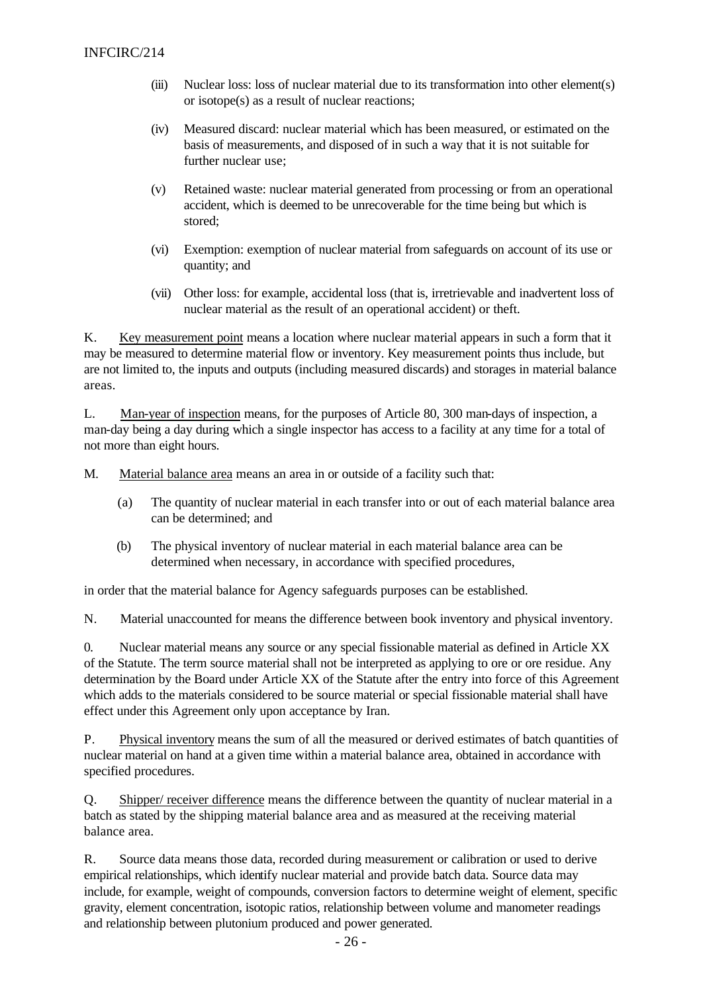- (iii) Nuclear loss: loss of nuclear material due to its transformation into other element(s) or isotope(s) as a result of nuclear reactions;
- (iv) Measured discard: nuclear material which has been measured, or estimated on the basis of measurements, and disposed of in such a way that it is not suitable for further nuclear use;
- (v) Retained waste: nuclear material generated from processing or from an operational accident, which is deemed to be unrecoverable for the time being but which is stored;
- (vi) Exemption: exemption of nuclear material from safeguards on account of its use or quantity; and
- (vii) Other loss: for example, accidental loss (that is, irretrievable and inadvertent loss of nuclear material as the result of an operational accident) or theft.

K. Key measurement point means a location where nuclear material appears in such a form that it may be measured to determine material flow or inventory. Key measurement points thus include, but are not limited to, the inputs and outputs (including measured discards) and storages in material balance areas.

L. Man-year of inspection means, for the purposes of Article 80, 300 man-days of inspection, a man-day being a day during which a single inspector has access to a facility at any time for a total of not more than eight hours.

M. Material balance area means an area in or outside of a facility such that:

- (a) The quantity of nuclear material in each transfer into or out of each material balance area can be determined; and
- (b) The physical inventory of nuclear material in each material balance area can be determined when necessary, in accordance with specified procedures,

in order that the material balance for Agency safeguards purposes can be established.

N. Material unaccounted for means the difference between book inventory and physical inventory.

0. Nuclear material means any source or any special fissionable material as defined in Article XX of the Statute. The term source material shall not be interpreted as applying to ore or ore residue. Any determination by the Board under Article XX of the Statute after the entry into force of this Agreement which adds to the materials considered to be source material or special fissionable material shall have effect under this Agreement only upon acceptance by Iran.

P. Physical inventory means the sum of all the measured or derived estimates of batch quantities of nuclear material on hand at a given time within a material balance area, obtained in accordance with specified procedures.

Q. Shipper/ receiver difference means the difference between the quantity of nuclear material in a batch as stated by the shipping material balance area and as measured at the receiving material balance area.

R. Source data means those data, recorded during measurement or calibration or used to derive empirical relationships, which identify nuclear material and provide batch data. Source data may include, for example, weight of compounds, conversion factors to determine weight of element, specific gravity, element concentration, isotopic ratios, relationship between volume and manometer readings and relationship between plutonium produced and power generated.